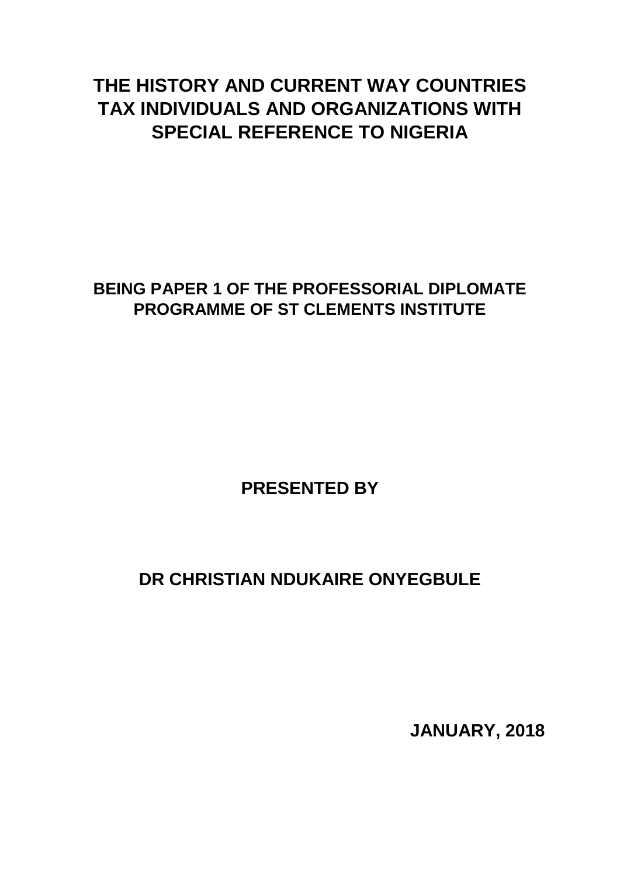# **THE HISTORY AND CURRENT WAY COUNTRIES TAX INDIVIDUALS AND ORGANIZATIONS WITH SPECIAL REFERENCE TO NIGERIA**

# **BEING PAPER 1 OF THE PROFESSORIAL DIPLOMATE PROGRAMME OF ST CLEMENTS INSTITUTE**

# **PRESENTED BY**

# **DR CHRISTIAN NDUKAIRE ONYEGBULE**

**JANUARY, 2018**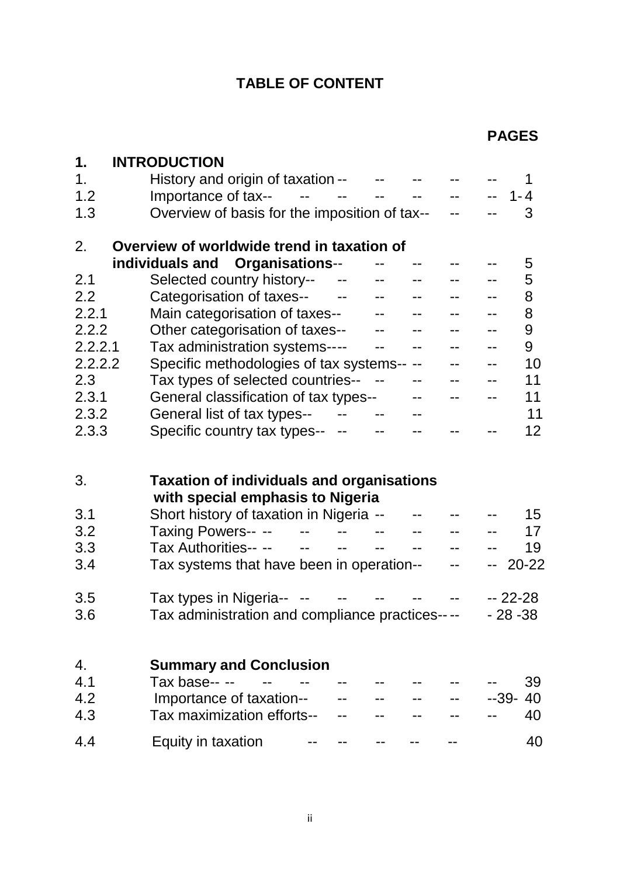# **TABLE OF CONTENT**

| 1.      | <b>INTRODUCTION</b>                                     |                                 |                                                     |              |                                                   |                           |           |
|---------|---------------------------------------------------------|---------------------------------|-----------------------------------------------------|--------------|---------------------------------------------------|---------------------------|-----------|
| 1.      | History and origin of taxation -- F-                    |                                 |                                                     |              |                                                   |                           | 1         |
| 1.2     | Importance of tax--                                     | المستحدث المستحدث المستحدث      |                                                     |              | $\frac{1}{2}$ and $\frac{1}{2}$ and $\frac{1}{2}$ | $\mathbb{H}^{\mathbb{H}}$ | $1 - 4$   |
| 1.3     | Overview of basis for the imposition of tax--           |                                 |                                                     |              |                                                   |                           | 3         |
| 2.      | Overview of worldwide trend in taxation of              |                                 |                                                     |              |                                                   |                           |           |
|         | individuals and Organisations--                         |                                 |                                                     |              |                                                   |                           | 5         |
| 2.1     | Selected country history--                              | $\sim$                          |                                                     |              |                                                   |                           | 5         |
| 2.2     | Categorisation of taxes--                               | <b>Service Contract</b>         | $\frac{1}{2}$ and $\frac{1}{2}$                     |              |                                                   |                           | 8         |
| 2.2.1   | Main categorisation of taxes--                          |                                 |                                                     | $- -$        | $- -$                                             | $-$                       | 8         |
| 2.2.2   | Other categorisation of taxes--                         |                                 |                                                     |              |                                                   |                           | 9         |
| 2.2.2.1 | Tax administration systems----                          |                                 | $\overline{a}$                                      |              |                                                   | $-$                       | 9         |
| 2.2.2.2 | Specific methodologies of tax systems--                 |                                 |                                                     | $\mathbf{u}$ |                                                   | $-$                       | 10        |
| 2.3     | Tax types of selected countries--                       |                                 |                                                     |              |                                                   |                           | 11        |
| 2.3.1   | General classification of tax types--                   |                                 |                                                     |              | $-1$                                              | $-$                       | 11        |
| 2.3.2   | General list of tax types--                             | $\frac{1}{2}$ and $\frac{1}{2}$ |                                                     |              |                                                   |                           | 11        |
| 2.3.3   | Specific country tax types--                            | $\rightarrow$                   |                                                     |              |                                                   |                           | 12        |
|         |                                                         |                                 |                                                     |              |                                                   |                           |           |
| 3.      | <b>Taxation of individuals and organisations</b>        |                                 |                                                     |              |                                                   |                           |           |
|         | with special emphasis to Nigeria                        |                                 |                                                     |              |                                                   |                           |           |
| 3.1     | Short history of taxation in Nigeria --                 |                                 |                                                     |              |                                                   |                           | 15        |
| 3.2     | Taxing Powers-- --<br>$\frac{1}{2}$ and $\frac{1}{2}$   |                                 | $--$                                                |              |                                                   |                           | 17        |
| 3.3     | Tax Authorities-- --<br>$\frac{1}{2}$ and $\frac{1}{2}$ |                                 | $\frac{1}{2}$ and $\frac{1}{2}$ . The $\frac{1}{2}$ |              |                                                   |                           | 19        |
| 3.4     | Tax systems that have been in operation--               |                                 |                                                     |              | $\overline{a}$                                    | $-1$                      | $20 - 22$ |
| 3.5     | Tax types in Nigeria--                                  |                                 |                                                     |              |                                                   | -- 22-28                  |           |
| 3.6     | Tax administration and compliance practices----         |                                 |                                                     |              |                                                   | $-28 - 38$                |           |
|         |                                                         |                                 |                                                     |              |                                                   |                           |           |
| 4.      | <b>Summary and Conclusion</b>                           |                                 |                                                     |              |                                                   |                           |           |
| 4.1     | Tax base-- --                                           |                                 |                                                     |              |                                                   |                           | 39        |
| 4.2     | Importance of taxation--                                |                                 |                                                     |              |                                                   | $-39-$                    | 40        |
| 4.3     | Tax maximization efforts--                              |                                 |                                                     |              |                                                   |                           | 40        |
| 4.4     | Equity in taxation                                      |                                 |                                                     |              |                                                   |                           | 40        |
|         |                                                         |                                 |                                                     |              |                                                   |                           |           |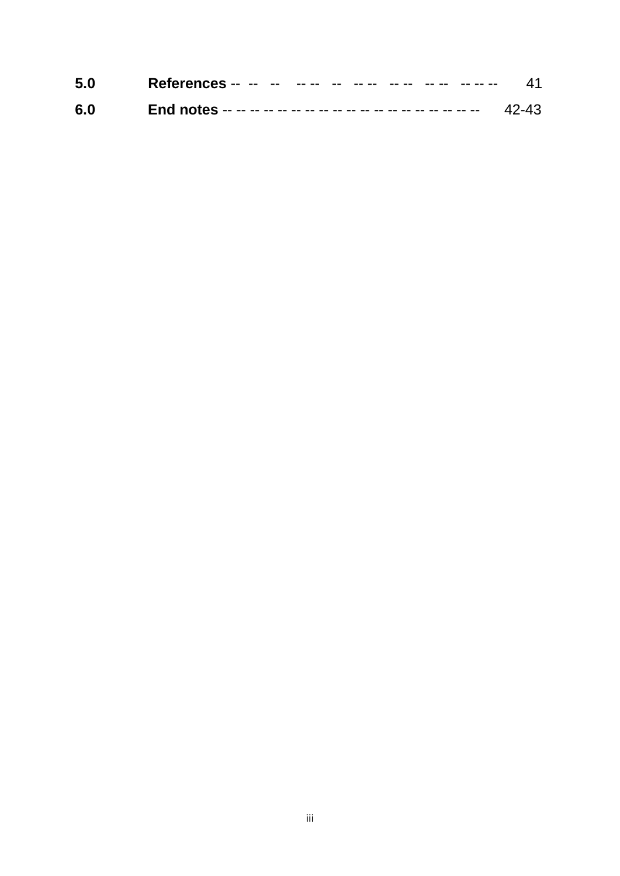| 5.0 |  |
|-----|--|
| 6.0 |  |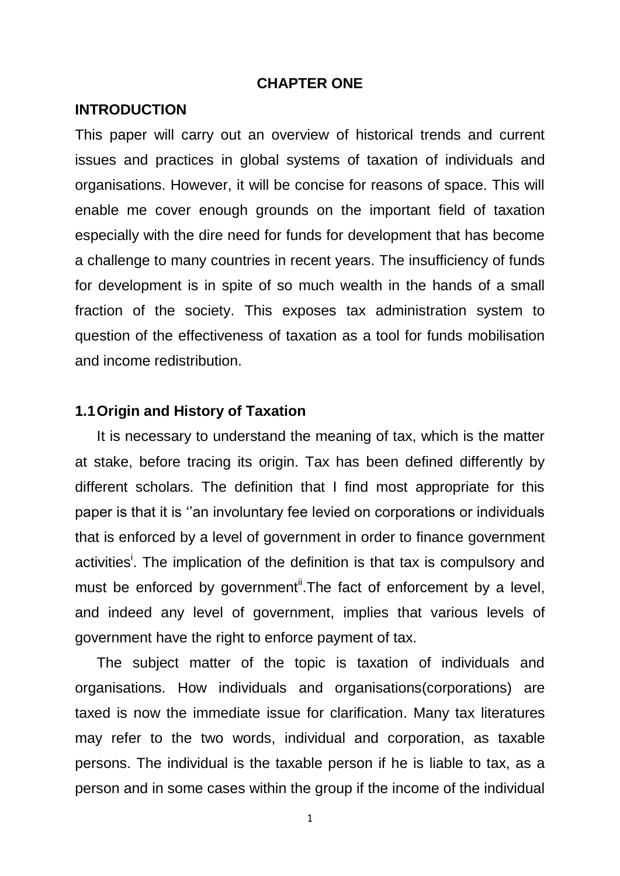#### **CHAPTER ONE**

#### **INTRODUCTION**

This paper will carry out an overview of historical trends and current issues and practices in global systems of taxation of individuals and organisations. However, it will be concise for reasons of space. This will enable me cover enough grounds on the important field of taxation especially with the dire need for funds for development that has become a challenge to many countries in recent years. The insufficiency of funds for development is in spite of so much wealth in the hands of a small fraction of the society. This exposes tax administration system to question of the effectiveness of taxation as a tool for funds mobilisation and income redistribution.

#### **1.1Origin and History of Taxation**

It is necessary to understand the meaning of tax, which is the matter at stake, before tracing its origin. Tax has been defined differently by different scholars. The definition that I find most appropriate for this paper is that it is ''an involuntary fee levied on corporations or individuals that is enforced by a level of government in order to finance government activities<sup>i</sup>. The implication of the definition is that tax is compulsory and must be enforced by government<sup>it</sup>. The fact of enforcement by a level, and indeed any level of government, implies that various levels of government have the right to enforce payment of tax.

The subject matter of the topic is taxation of individuals and organisations. How individuals and organisations(corporations) are taxed is now the immediate issue for clarification. Many tax literatures may refer to the two words, individual and corporation, as taxable persons. The individual is the taxable person if he is liable to tax, as a person and in some cases within the group if the income of the individual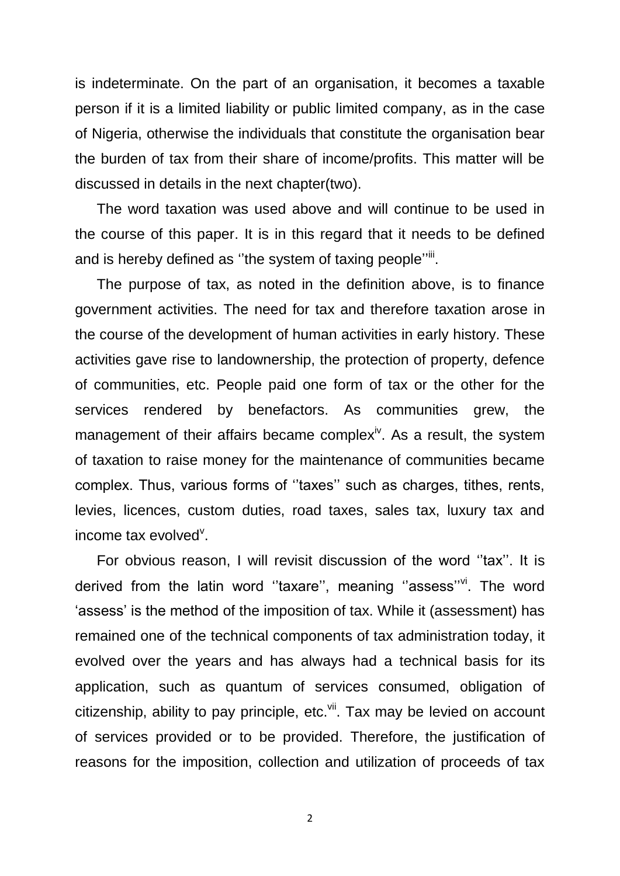is indeterminate. On the part of an organisation, it becomes a taxable person if it is a limited liability or public limited company, as in the case of Nigeria, otherwise the individuals that constitute the organisation bear the burden of tax from their share of income/profits. This matter will be discussed in details in the next chapter(two).

The word taxation was used above and will continue to be used in the course of this paper. It is in this regard that it needs to be defined and is hereby defined as "the system of taxing people"<sup>iii</sup>.

The purpose of tax, as noted in the definition above, is to finance government activities. The need for tax and therefore taxation arose in the course of the development of human activities in early history. These activities gave rise to landownership, the protection of property, defence of communities, etc. People paid one form of tax or the other for the services rendered by benefactors. As communities grew, the management of their affairs became complex<sup>iv</sup>. As a result, the system of taxation to raise money for the maintenance of communities became complex. Thus, various forms of ''taxes'' such as charges, tithes, rents, levies, licences, custom duties, road taxes, sales tax, luxury tax and income tax evolved<sup>v</sup>.

For obvious reason, I will revisit discussion of the word ''tax''. It is derived from the latin word "taxare", meaning "assess"vi. The word 'assess' is the method of the imposition of tax. While it (assessment) has remained one of the technical components of tax administration today, it evolved over the years and has always had a technical basis for its application, such as quantum of services consumed, obligation of citizenship, ability to pay principle, etc. $\frac{v}{v}$ . Tax may be levied on account of services provided or to be provided. Therefore, the justification of reasons for the imposition, collection and utilization of proceeds of tax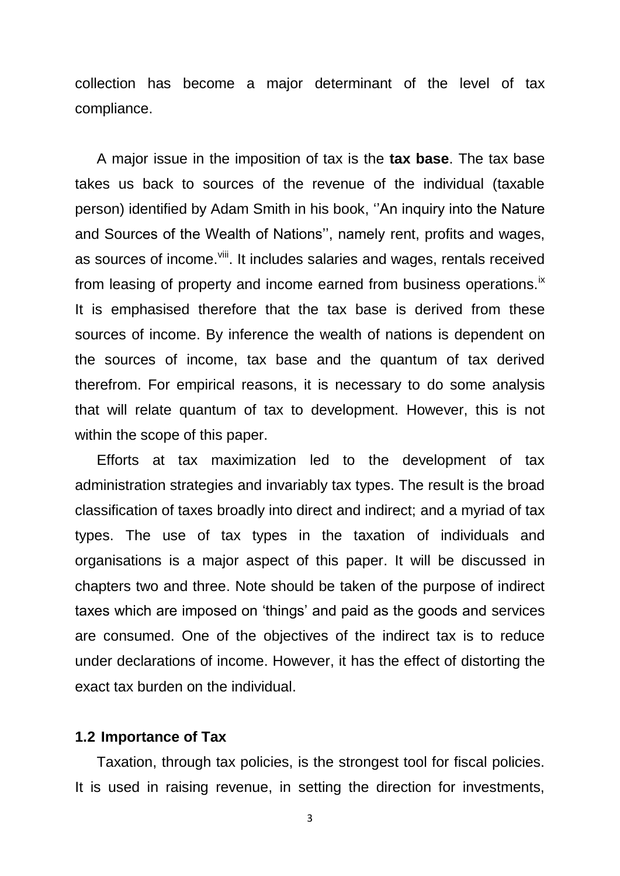collection has become a major determinant of the level of tax compliance.

A major issue in the imposition of tax is the **tax base**. The tax base takes us back to sources of the revenue of the individual (taxable person) identified by Adam Smith in his book, ''An inquiry into the Nature and Sources of the Wealth of Nations'', namely rent, profits and wages, as sources of income.<sup>viii</sup>. It includes salaries and wages, rentals received from leasing of property and income earned from business operations.<sup>ix</sup> It is emphasised therefore that the tax base is derived from these sources of income. By inference the wealth of nations is dependent on the sources of income, tax base and the quantum of tax derived therefrom. For empirical reasons, it is necessary to do some analysis that will relate quantum of tax to development. However, this is not within the scope of this paper.

Efforts at tax maximization led to the development of tax administration strategies and invariably tax types. The result is the broad classification of taxes broadly into direct and indirect; and a myriad of tax types. The use of tax types in the taxation of individuals and organisations is a major aspect of this paper. It will be discussed in chapters two and three. Note should be taken of the purpose of indirect taxes which are imposed on 'things' and paid as the goods and services are consumed. One of the objectives of the indirect tax is to reduce under declarations of income. However, it has the effect of distorting the exact tax burden on the individual.

#### **1.2 Importance of Tax**

Taxation, through tax policies, is the strongest tool for fiscal policies. It is used in raising revenue, in setting the direction for investments,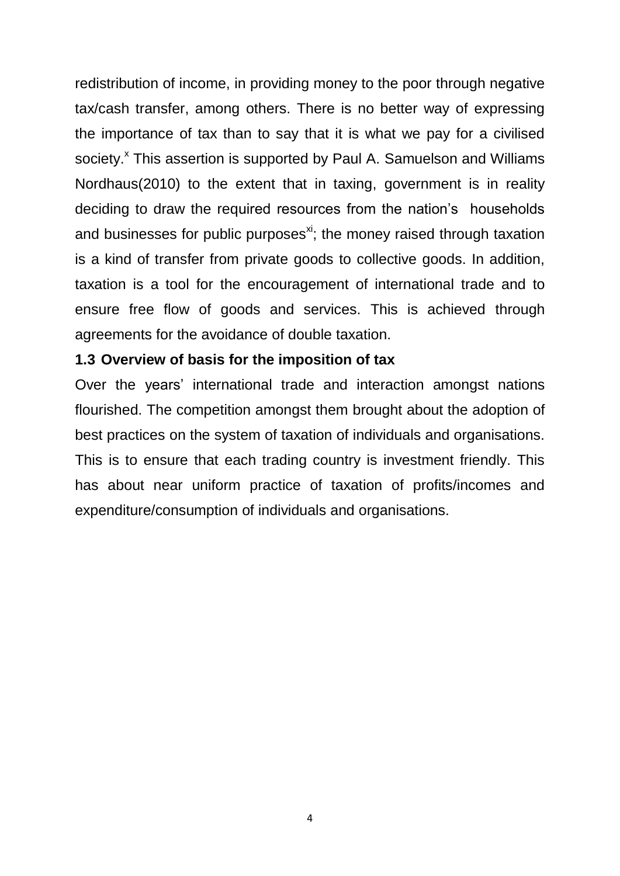redistribution of income, in providing money to the poor through negative tax/cash transfer, among others. There is no better way of expressing the importance of tax than to say that it is what we pay for a civilised society.<sup>x</sup> This assertion is supported by Paul A. Samuelson and Williams Nordhaus(2010) to the extent that in taxing, government is in reality deciding to draw the required resources from the nation's households and businesses for public purposes<sup>xi</sup>; the money raised through taxation is a kind of transfer from private goods to collective goods. In addition, taxation is a tool for the encouragement of international trade and to ensure free flow of goods and services. This is achieved through agreements for the avoidance of double taxation.

## **1.3 Overview of basis for the imposition of tax**

Over the years' international trade and interaction amongst nations flourished. The competition amongst them brought about the adoption of best practices on the system of taxation of individuals and organisations. This is to ensure that each trading country is investment friendly. This has about near uniform practice of taxation of profits/incomes and expenditure/consumption of individuals and organisations.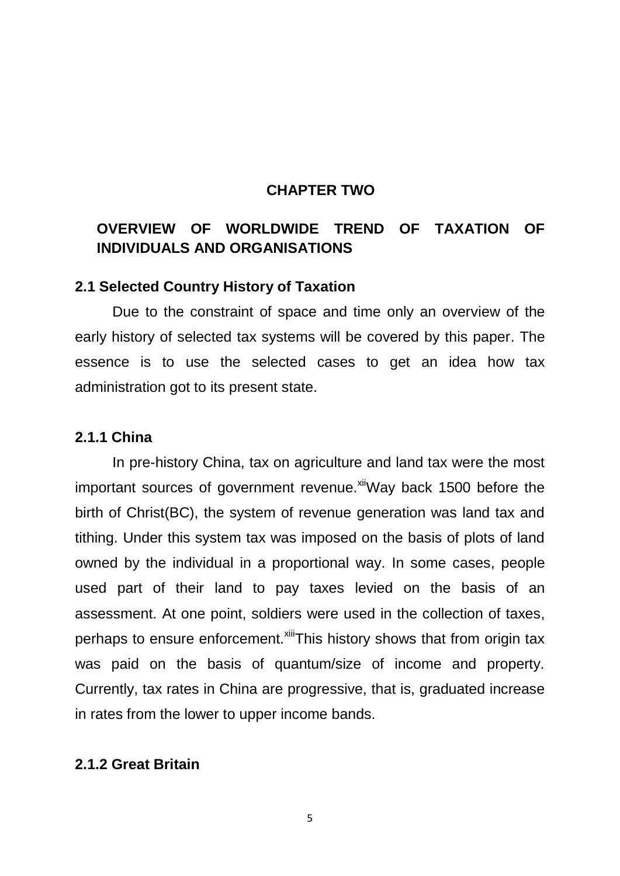### **CHAPTER TWO**

# **OVERVIEW OF WORLDWIDE TREND OF TAXATION OF INDIVIDUALS AND ORGANISATIONS**

#### **2.1 Selected Country History of Taxation**

Due to the constraint of space and time only an overview of the early history of selected tax systems will be covered by this paper. The essence is to use the selected cases to get an idea how tax administration got to its present state.

#### **2.1.1 China**

In pre-history China, tax on agriculture and land tax were the most important sources of government revenue. Xill Way back 1500 before the birth of Christ(BC), the system of revenue generation was land tax and tithing. Under this system tax was imposed on the basis of plots of land owned by the individual in a proportional way. In some cases, people used part of their land to pay taxes levied on the basis of an assessment. At one point, soldiers were used in the collection of taxes, perhaps to ensure enforcement.<sup>xiii</sup>This history shows that from origin tax was paid on the basis of quantum/size of income and property. Currently, tax rates in China are progressive, that is, graduated increase in rates from the lower to upper income bands.

### **2.1.2 Great Britain**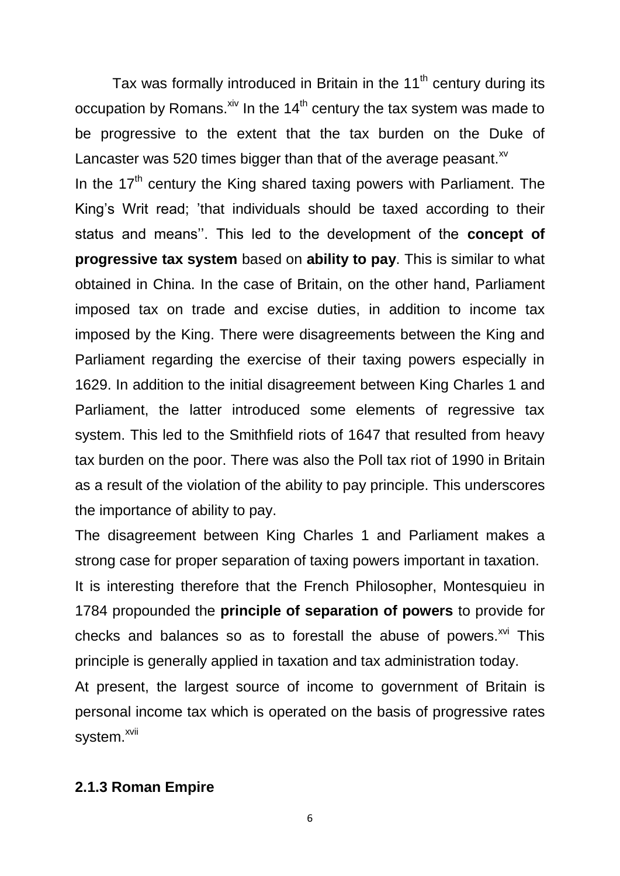Tax was formally introduced in Britain in the  $11<sup>th</sup>$  century during its occupation by Romans. $x^{iv}$  In the 14<sup>th</sup> century the tax system was made to be progressive to the extent that the tax burden on the Duke of Lancaster was 520 times bigger than that of the average peasant. $x<sup>v</sup>$ In the  $17<sup>th</sup>$  century the King shared taxing powers with Parliament. The King's Writ read; 'that individuals should be taxed according to their status and means''. This led to the development of the **concept of progressive tax system** based on **ability to pay**. This is similar to what obtained in China. In the case of Britain, on the other hand, Parliament imposed tax on trade and excise duties, in addition to income tax imposed by the King. There were disagreements between the King and Parliament regarding the exercise of their taxing powers especially in 1629. In addition to the initial disagreement between King Charles 1 and Parliament, the latter introduced some elements of regressive tax system. This led to the Smithfield riots of 1647 that resulted from heavy tax burden on the poor. There was also the Poll tax riot of 1990 in Britain as a result of the violation of the ability to pay principle. This underscores the importance of ability to pay.

The disagreement between King Charles 1 and Parliament makes a strong case for proper separation of taxing powers important in taxation. It is interesting therefore that the French Philosopher, Montesquieu in 1784 propounded the **principle of separation of powers** to provide for checks and balances so as to forestall the abuse of powers. $x^{0}$  This principle is generally applied in taxation and tax administration today.

At present, the largest source of income to government of Britain is personal income tax which is operated on the basis of progressive rates system.<sup>xvii</sup>

### **2.1.3 Roman Empire**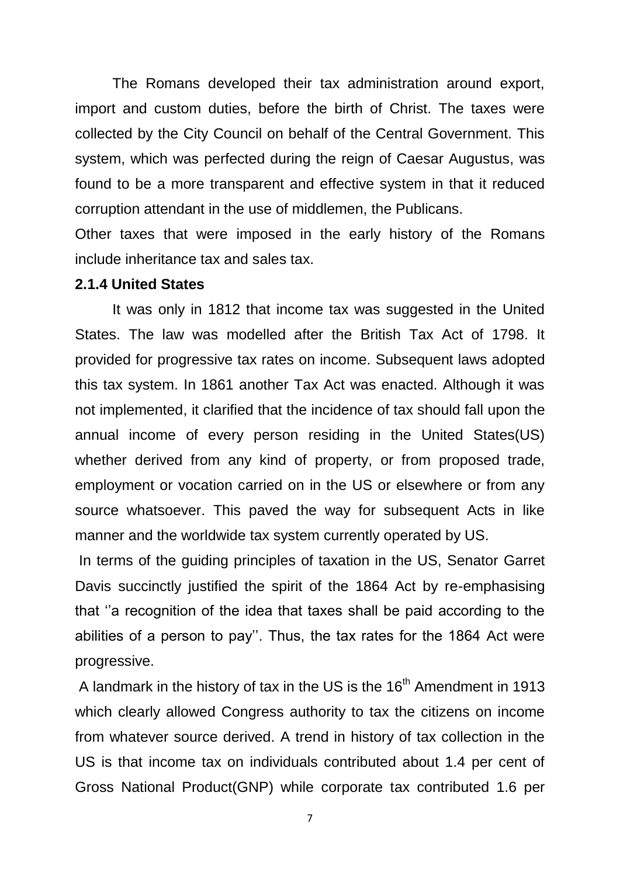The Romans developed their tax administration around export, import and custom duties, before the birth of Christ. The taxes were collected by the City Council on behalf of the Central Government. This system, which was perfected during the reign of Caesar Augustus, was found to be a more transparent and effective system in that it reduced corruption attendant in the use of middlemen, the Publicans.

Other taxes that were imposed in the early history of the Romans include inheritance tax and sales tax.

#### **2.1.4 United States**

It was only in 1812 that income tax was suggested in the United States. The law was modelled after the British Tax Act of 1798. It provided for progressive tax rates on income. Subsequent laws adopted this tax system. In 1861 another Tax Act was enacted. Although it was not implemented, it clarified that the incidence of tax should fall upon the annual income of every person residing in the United States(US) whether derived from any kind of property, or from proposed trade, employment or vocation carried on in the US or elsewhere or from any source whatsoever. This paved the way for subsequent Acts in like manner and the worldwide tax system currently operated by US.

In terms of the guiding principles of taxation in the US, Senator Garret Davis succinctly justified the spirit of the 1864 Act by re-emphasising that ''a recognition of the idea that taxes shall be paid according to the abilities of a person to pay''. Thus, the tax rates for the 1864 Act were progressive.

A landmark in the history of tax in the US is the 16<sup>th</sup> Amendment in 1913 which clearly allowed Congress authority to tax the citizens on income from whatever source derived. A trend in history of tax collection in the US is that income tax on individuals contributed about 1.4 per cent of Gross National Product(GNP) while corporate tax contributed 1.6 per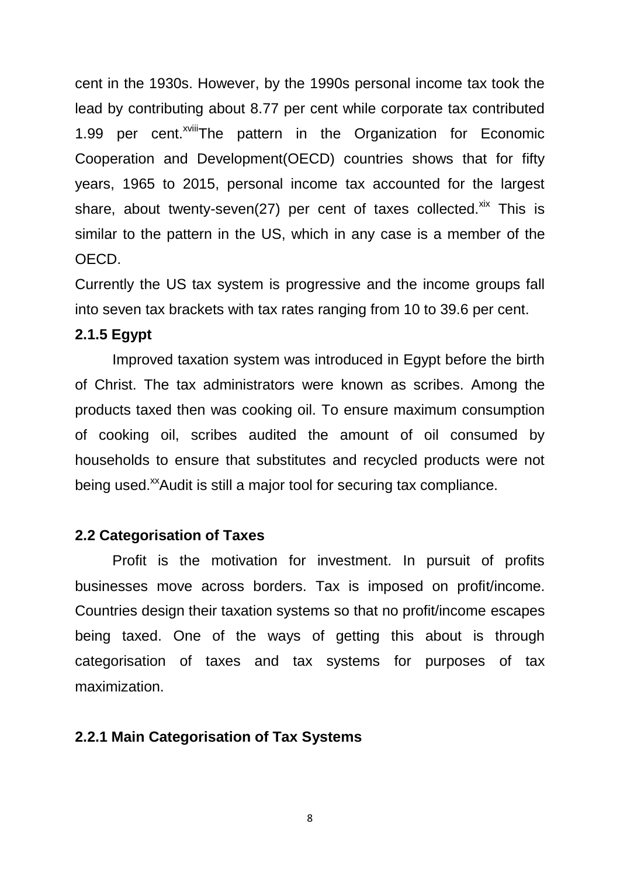cent in the 1930s. However, by the 1990s personal income tax took the lead by contributing about 8.77 per cent while corporate tax contributed 1.99 per cent.<sup>xviii</sup>The pattern in the Organization for Economic Cooperation and Development(OECD) countries shows that for fifty years, 1965 to 2015, personal income tax accounted for the largest share, about twenty-seven(27) per cent of taxes collected.<sup>xix</sup> This is similar to the pattern in the US, which in any case is a member of the OECD.

Currently the US tax system is progressive and the income groups fall into seven tax brackets with tax rates ranging from 10 to 39.6 per cent.

#### **2.1.5 Egypt**

Improved taxation system was introduced in Egypt before the birth of Christ. The tax administrators were known as scribes. Among the products taxed then was cooking oil. To ensure maximum consumption of cooking oil, scribes audited the amount of oil consumed by households to ensure that substitutes and recycled products were not being used.<sup>xx</sup>Audit is still a major tool for securing tax compliance.

#### **2.2 Categorisation of Taxes**

Profit is the motivation for investment. In pursuit of profits businesses move across borders. Tax is imposed on profit/income. Countries design their taxation systems so that no profit/income escapes being taxed. One of the ways of getting this about is through categorisation of taxes and tax systems for purposes of tax maximization.

#### **2.2.1 Main Categorisation of Tax Systems**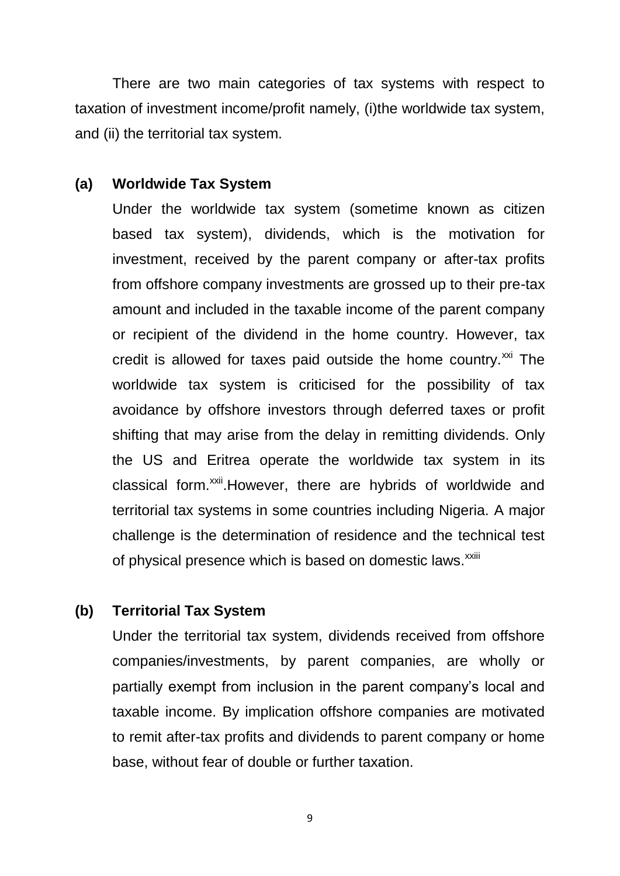There are two main categories of tax systems with respect to taxation of investment income/profit namely, (i)the worldwide tax system, and (ii) the territorial tax system.

#### **(a) Worldwide Tax System**

Under the worldwide tax system (sometime known as citizen based tax system), dividends, which is the motivation for investment, received by the parent company or after-tax profits from offshore company investments are grossed up to their pre-tax amount and included in the taxable income of the parent company or recipient of the dividend in the home country. However, tax credit is allowed for taxes paid outside the home country. $^{xxi}$  The worldwide tax system is criticised for the possibility of tax avoidance by offshore investors through deferred taxes or profit shifting that may arise from the delay in remitting dividends. Only the US and Eritrea operate the worldwide tax system in its classical form.<sup>xxii</sup>. However, there are hybrids of worldwide and territorial tax systems in some countries including Nigeria. A major challenge is the determination of residence and the technical test of physical presence which is based on domestic laws.<sup>xxiii</sup>

### **(b) Territorial Tax System**

Under the territorial tax system, dividends received from offshore companies/investments, by parent companies, are wholly or partially exempt from inclusion in the parent company's local and taxable income. By implication offshore companies are motivated to remit after-tax profits and dividends to parent company or home base, without fear of double or further taxation.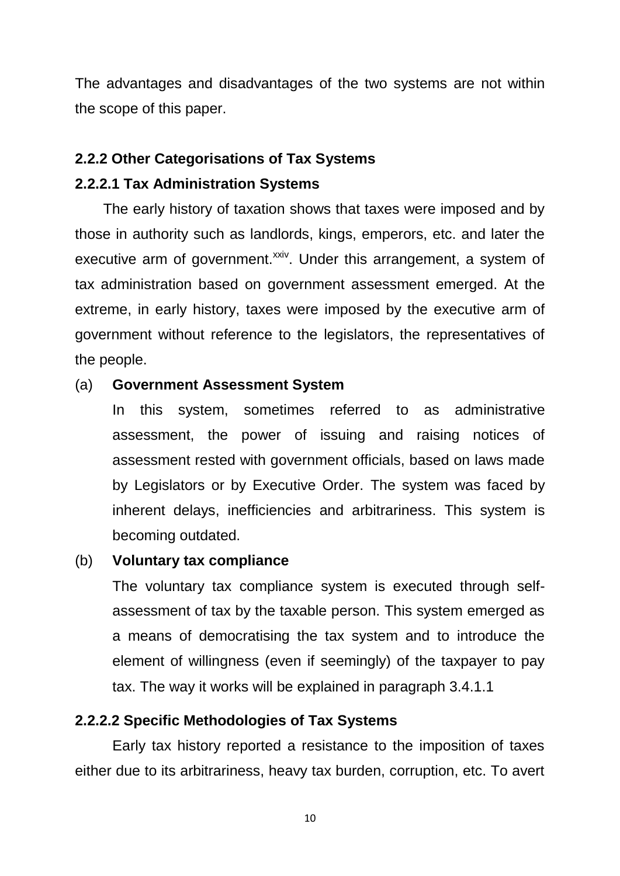The advantages and disadvantages of the two systems are not within the scope of this paper.

# **2.2.2 Other Categorisations of Tax Systems**

# **2.2.2.1 Tax Administration Systems**

 The early history of taxation shows that taxes were imposed and by those in authority such as landlords, kings, emperors, etc. and later the executive arm of government.<sup>xxiv</sup>. Under this arrangement, a system of tax administration based on government assessment emerged. At the extreme, in early history, taxes were imposed by the executive arm of government without reference to the legislators, the representatives of the people.

# (a) **Government Assessment System**

In this system, sometimes referred to as administrative assessment, the power of issuing and raising notices of assessment rested with government officials, based on laws made by Legislators or by Executive Order. The system was faced by inherent delays, inefficiencies and arbitrariness. This system is becoming outdated.

# (b) **Voluntary tax compliance**

The voluntary tax compliance system is executed through selfassessment of tax by the taxable person. This system emerged as a means of democratising the tax system and to introduce the element of willingness (even if seemingly) of the taxpayer to pay tax. The way it works will be explained in paragraph 3.4.1.1

# **2.2.2.2 Specific Methodologies of Tax Systems**

Early tax history reported a resistance to the imposition of taxes either due to its arbitrariness, heavy tax burden, corruption, etc. To avert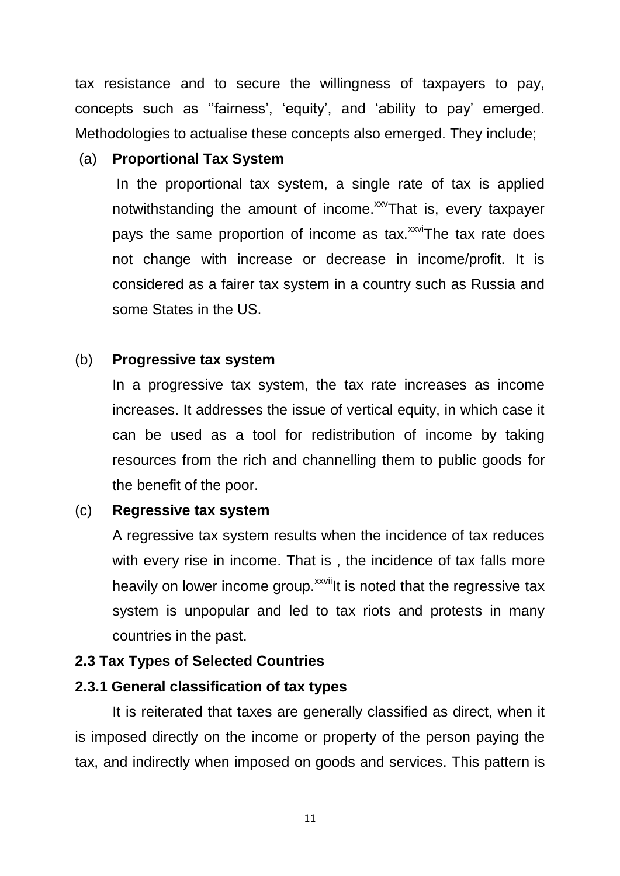tax resistance and to secure the willingness of taxpayers to pay, concepts such as ''fairness', 'equity', and 'ability to pay' emerged. Methodologies to actualise these concepts also emerged. They include;

# (a) **Proportional Tax System**

In the proportional tax system, a single rate of tax is applied notwithstanding the amount of income.<sup>xxv</sup>That is, every taxpayer pays the same proportion of income as tax.<sup>xxvi</sup>The tax rate does not change with increase or decrease in income/profit. It is considered as a fairer tax system in a country such as Russia and some States in the US.

# (b) **Progressive tax system**

In a progressive tax system, the tax rate increases as income increases. It addresses the issue of vertical equity, in which case it can be used as a tool for redistribution of income by taking resources from the rich and channelling them to public goods for the benefit of the poor.

# (c) **Regressive tax system**

A regressive tax system results when the incidence of tax reduces with every rise in income. That is , the incidence of tax falls more heavily on lower income group.<sup>xxvii</sup>lt is noted that the regressive tax system is unpopular and led to tax riots and protests in many countries in the past.

# **2.3 Tax Types of Selected Countries**

# **2.3.1 General classification of tax types**

It is reiterated that taxes are generally classified as direct, when it is imposed directly on the income or property of the person paying the tax, and indirectly when imposed on goods and services. This pattern is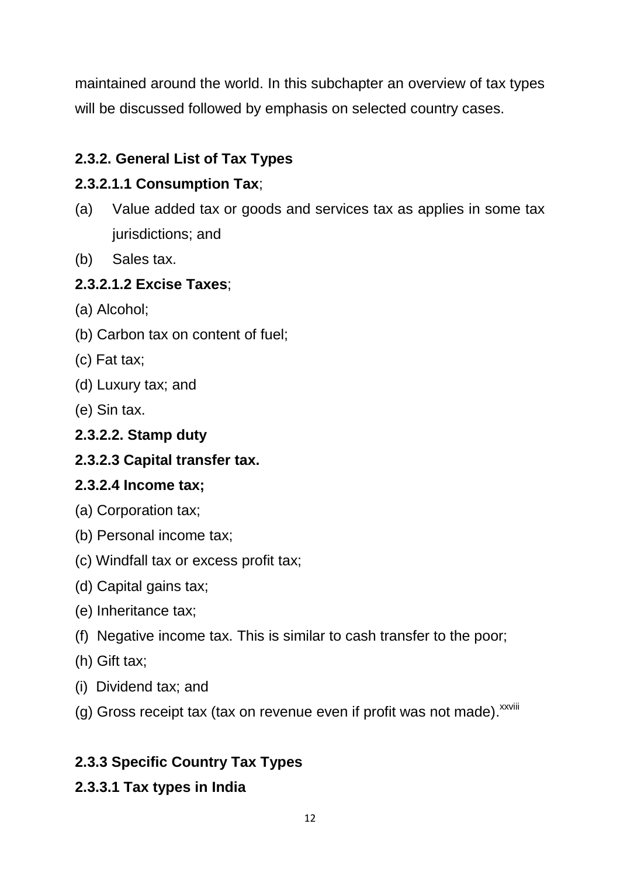maintained around the world. In this subchapter an overview of tax types will be discussed followed by emphasis on selected country cases.

# **2.3.2. General List of Tax Types**

# **2.3.2.1.1 Consumption Tax**;

- (a) Value added tax or goods and services tax as applies in some tax jurisdictions; and
- (b) Sales tax.

# **2.3.2.1.2 Excise Taxes**;

- (a) Alcohol;
- (b) Carbon tax on content of fuel;
- (c) Fat tax;
- (d) Luxury tax; and
- (e) Sin tax.

# **2.3.2.2. Stamp duty**

# **2.3.2.3 Capital transfer tax.**

# **2.3.2.4 Income tax;**

- (a) Corporation tax;
- (b) Personal income tax;
- (c) Windfall tax or excess profit tax;
- (d) Capital gains tax;
- (e) Inheritance tax;
- (f) Negative income tax. This is similar to cash transfer to the poor;
- (h) Gift tax;
- (i) Dividend tax; and
- (g) Gross receipt tax (tax on revenue even if profit was not made). XXVIII

# **2.3.3 Specific Country Tax Types**

# **2.3.3.1 Tax types in India**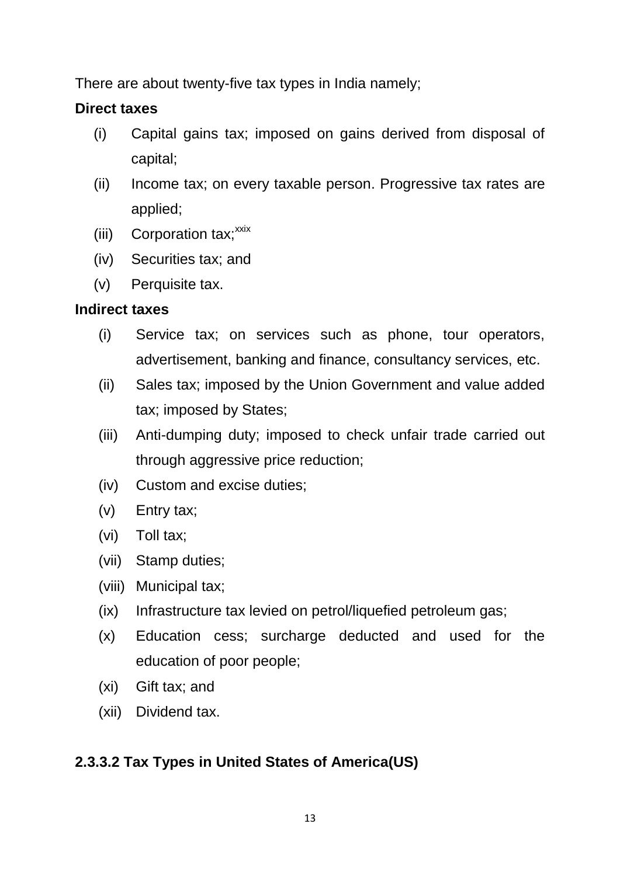There are about twenty-five tax types in India namely;

# **Direct taxes**

- (i) Capital gains tax; imposed on gains derived from disposal of capital;
- (ii) Income tax; on every taxable person. Progressive tax rates are applied;
- $(iii)$  Corporation tax;  $x$ xix
- (iv) Securities tax; and
- (v) Perquisite tax.

# **Indirect taxes**

- (i) Service tax; on services such as phone, tour operators, advertisement, banking and finance, consultancy services, etc.
- (ii) Sales tax; imposed by the Union Government and value added tax; imposed by States;
- (iii) Anti-dumping duty; imposed to check unfair trade carried out through aggressive price reduction;
- (iv) Custom and excise duties;
- (v) Entry tax;
- (vi) Toll tax;
- (vii) Stamp duties;
- (viii) Municipal tax;
- (ix) Infrastructure tax levied on petrol/liquefied petroleum gas;
- (x) Education cess; surcharge deducted and used for the education of poor people;
- (xi) Gift tax; and
- (xii) Dividend tax.

# **2.3.3.2 Tax Types in United States of America(US)**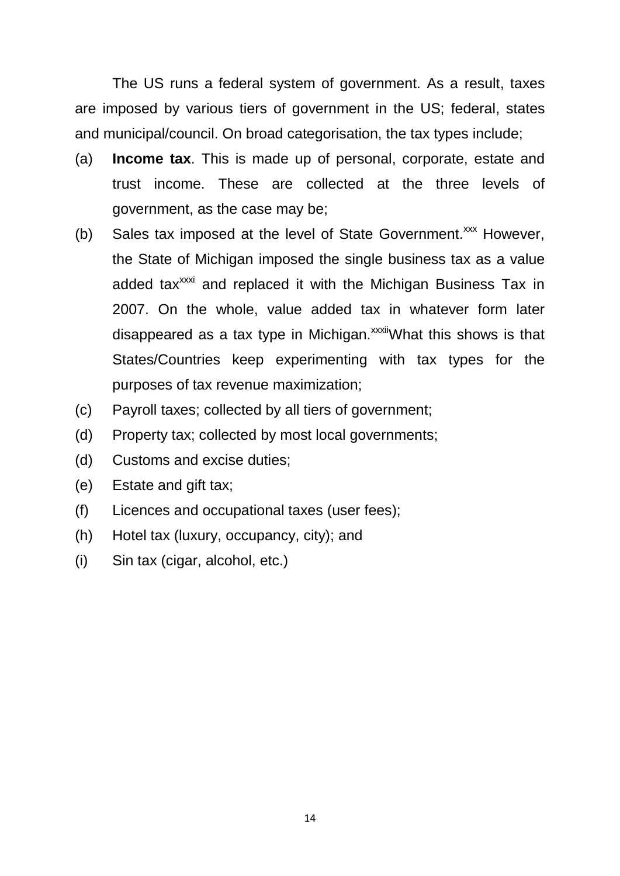The US runs a federal system of government. As a result, taxes are imposed by various tiers of government in the US; federal, states and municipal/council. On broad categorisation, the tax types include;

- (a) **Income tax**. This is made up of personal, corporate, estate and trust income. These are collected at the three levels of government, as the case may be;
- (b) Sales tax imposed at the level of State Government. $\frac{xx}{x}$  However, the State of Michigan imposed the single business tax as a value added tax<sup>xxxi</sup> and replaced it with the Michigan Business Tax in 2007. On the whole, value added tax in whatever form later disappeared as a tax type in Michigan.<sup>xxxii</sup>What this shows is that States/Countries keep experimenting with tax types for the purposes of tax revenue maximization;
- (c) Payroll taxes; collected by all tiers of government;
- (d) Property tax; collected by most local governments;
- (d) Customs and excise duties;
- (e) Estate and gift tax;
- (f) Licences and occupational taxes (user fees);
- (h) Hotel tax (luxury, occupancy, city); and
- (i) Sin tax (cigar, alcohol, etc.)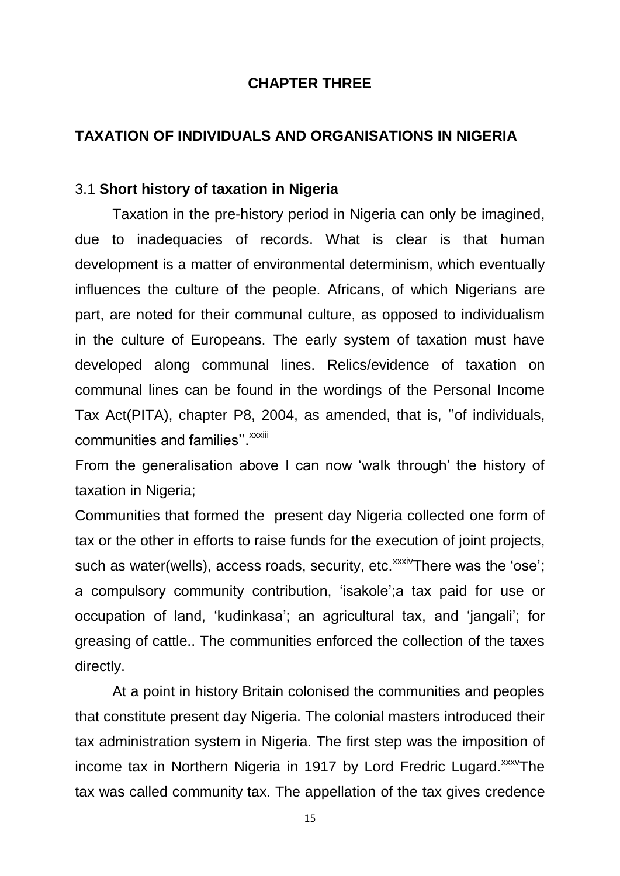### **CHAPTER THREE**

### **TAXATION OF INDIVIDUALS AND ORGANISATIONS IN NIGERIA**

#### 3.1 **Short history of taxation in Nigeria**

Taxation in the pre-history period in Nigeria can only be imagined, due to inadequacies of records. What is clear is that human development is a matter of environmental determinism, which eventually influences the culture of the people. Africans, of which Nigerians are part, are noted for their communal culture, as opposed to individualism in the culture of Europeans. The early system of taxation must have developed along communal lines. Relics/evidence of taxation on communal lines can be found in the wordings of the Personal Income Tax Act(PITA), chapter P8, 2004, as amended, that is, ''of individuals, communities and families". *xxxiii* 

From the generalisation above I can now 'walk through' the history of taxation in Nigeria;

Communities that formed the present day Nigeria collected one form of tax or the other in efforts to raise funds for the execution of joint projects, such as water(wells), access roads, security, etc.<sup>xxxiv</sup>There was the 'ose'; a compulsory community contribution, 'isakole';a tax paid for use or occupation of land, 'kudinkasa'; an agricultural tax, and 'jangali'; for greasing of cattle.. The communities enforced the collection of the taxes directly.

At a point in history Britain colonised the communities and peoples that constitute present day Nigeria. The colonial masters introduced their tax administration system in Nigeria. The first step was the imposition of income tax in Northern Nigeria in 1917 by Lord Fredric Lugard.<sup>xxxv</sup>The tax was called community tax. The appellation of the tax gives credence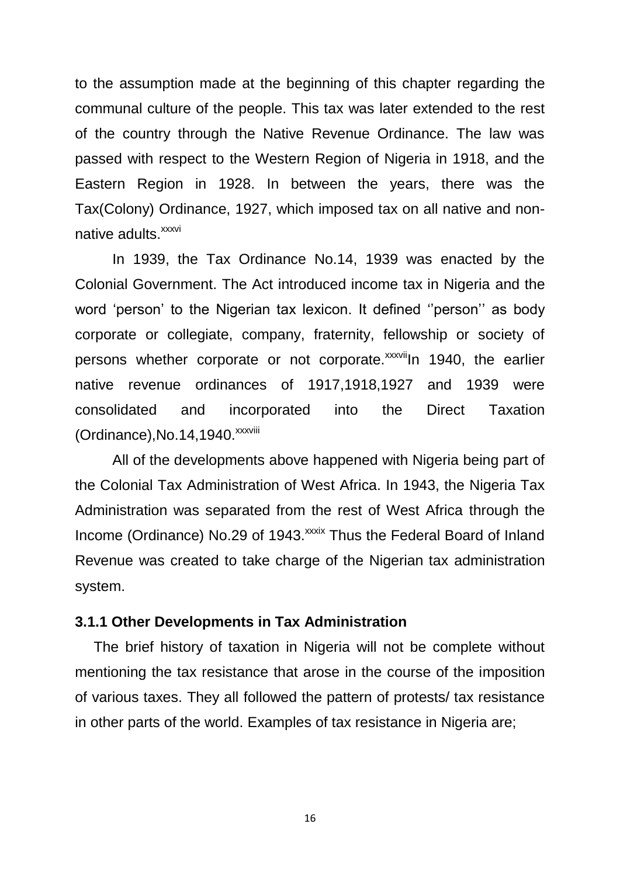to the assumption made at the beginning of this chapter regarding the communal culture of the people. This tax was later extended to the rest of the country through the Native Revenue Ordinance. The law was passed with respect to the Western Region of Nigeria in 1918, and the Eastern Region in 1928. In between the years, there was the Tax(Colony) Ordinance, 1927, which imposed tax on all native and nonnative adults.<sup>xxxvi</sup>

In 1939, the Tax Ordinance No.14, 1939 was enacted by the Colonial Government. The Act introduced income tax in Nigeria and the word 'person' to the Nigerian tax lexicon. It defined ''person'' as body corporate or collegiate, company, fraternity, fellowship or society of persons whether corporate or not corporate.<sup>xxxvii</sup>ln 1940, the earlier native revenue ordinances of 1917,1918,1927 and 1939 were consolidated and incorporated into the Direct Taxation  $(Ordinance)$ , No.14,1940. $xxxxyiii$ 

All of the developments above happened with Nigeria being part of the Colonial Tax Administration of West Africa. In 1943, the Nigeria Tax Administration was separated from the rest of West Africa through the Income (Ordinance) No.29 of 1943.<sup>xxxix</sup> Thus the Federal Board of Inland Revenue was created to take charge of the Nigerian tax administration system.

#### **3.1.1 Other Developments in Tax Administration**

The brief history of taxation in Nigeria will not be complete without mentioning the tax resistance that arose in the course of the imposition of various taxes. They all followed the pattern of protests/ tax resistance in other parts of the world. Examples of tax resistance in Nigeria are;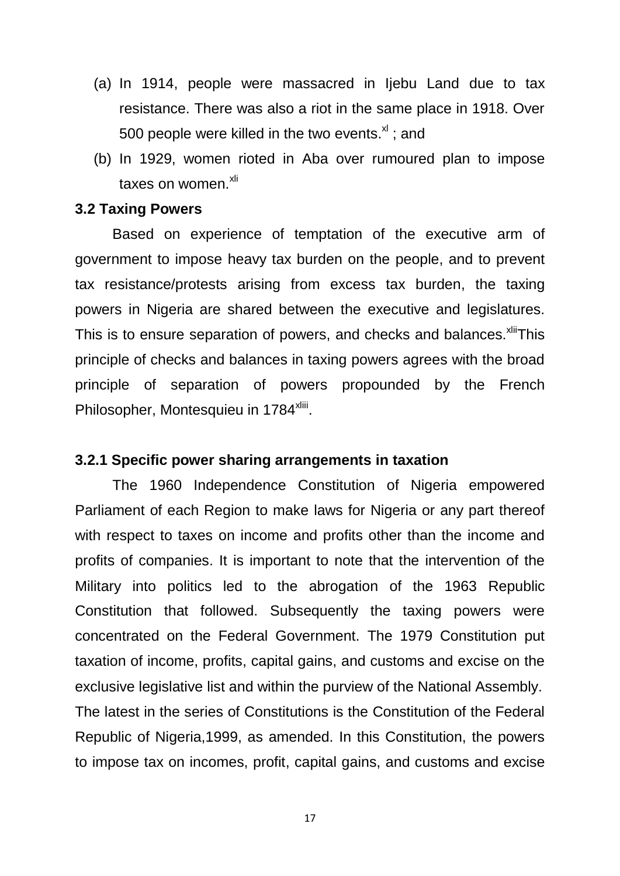- (a) In 1914, people were massacred in Ijebu Land due to tax resistance. There was also a riot in the same place in 1918. Over 500 people were killed in the two events. $x<sup>1</sup>$ ; and
- (b) In 1929, women rioted in Aba over rumoured plan to impose taxes on women.<sup>xli</sup>

#### **3.2 Taxing Powers**

Based on experience of temptation of the executive arm of government to impose heavy tax burden on the people, and to prevent tax resistance/protests arising from excess tax burden, the taxing powers in Nigeria are shared between the executive and legislatures. This is to ensure separation of powers, and checks and balances.<sup>xliit</sup>This principle of checks and balances in taxing powers agrees with the broad principle of separation of powers propounded by the French Philosopher, Montesquieu in 1784<sup>xliii</sup>.

#### **3.2.1 Specific power sharing arrangements in taxation**

The 1960 Independence Constitution of Nigeria empowered Parliament of each Region to make laws for Nigeria or any part thereof with respect to taxes on income and profits other than the income and profits of companies. It is important to note that the intervention of the Military into politics led to the abrogation of the 1963 Republic Constitution that followed. Subsequently the taxing powers were concentrated on the Federal Government. The 1979 Constitution put taxation of income, profits, capital gains, and customs and excise on the exclusive legislative list and within the purview of the National Assembly. The latest in the series of Constitutions is the Constitution of the Federal Republic of Nigeria,1999, as amended. In this Constitution, the powers to impose tax on incomes, profit, capital gains, and customs and excise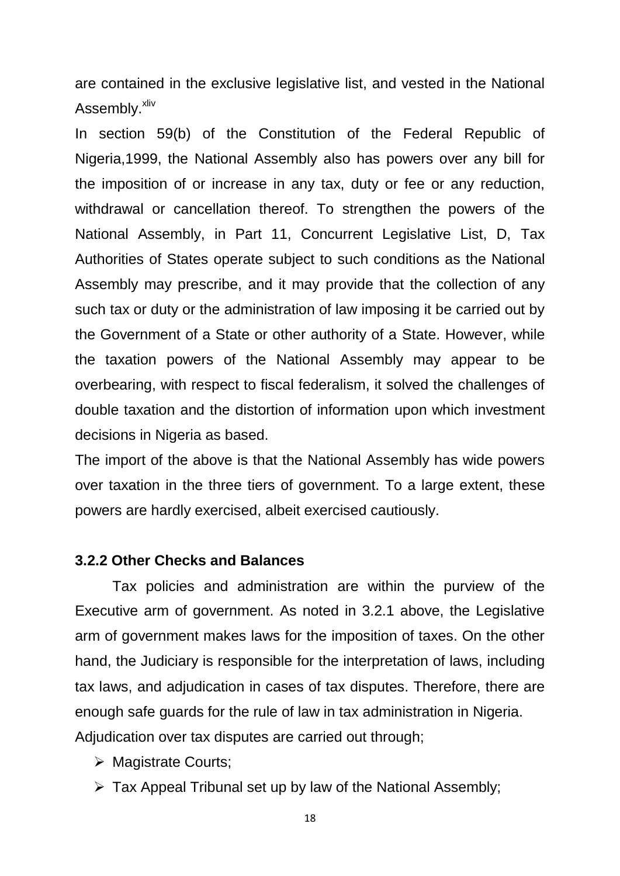are contained in the exclusive legislative list, and vested in the National Assembly.<sup>xliv</sup>

In section 59(b) of the Constitution of the Federal Republic of Nigeria,1999, the National Assembly also has powers over any bill for the imposition of or increase in any tax, duty or fee or any reduction, withdrawal or cancellation thereof. To strengthen the powers of the National Assembly, in Part 11, Concurrent Legislative List, D, Tax Authorities of States operate subject to such conditions as the National Assembly may prescribe, and it may provide that the collection of any such tax or duty or the administration of law imposing it be carried out by the Government of a State or other authority of a State. However, while the taxation powers of the National Assembly may appear to be overbearing, with respect to fiscal federalism, it solved the challenges of double taxation and the distortion of information upon which investment decisions in Nigeria as based.

The import of the above is that the National Assembly has wide powers over taxation in the three tiers of government. To a large extent, these powers are hardly exercised, albeit exercised cautiously.

#### **3.2.2 Other Checks and Balances**

Tax policies and administration are within the purview of the Executive arm of government. As noted in 3.2.1 above, the Legislative arm of government makes laws for the imposition of taxes. On the other hand, the Judiciary is responsible for the interpretation of laws, including tax laws, and adjudication in cases of tax disputes. Therefore, there are enough safe guards for the rule of law in tax administration in Nigeria. Adjudication over tax disputes are carried out through;

- **▶ Magistrate Courts:**
- $\triangleright$  Tax Appeal Tribunal set up by law of the National Assembly;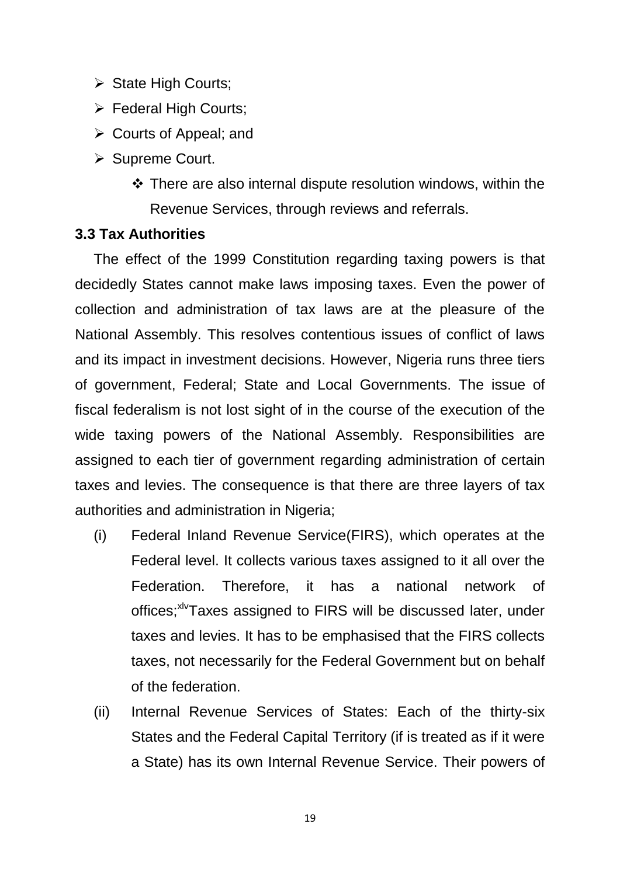- $\triangleright$  State High Courts;
- Federal High Courts;
- $\triangleright$  Courts of Appeal; and
- $\triangleright$  Supreme Court.
	- $\cdot$  There are also internal dispute resolution windows, within the Revenue Services, through reviews and referrals.

# **3.3 Tax Authorities**

The effect of the 1999 Constitution regarding taxing powers is that decidedly States cannot make laws imposing taxes. Even the power of collection and administration of tax laws are at the pleasure of the National Assembly. This resolves contentious issues of conflict of laws and its impact in investment decisions. However, Nigeria runs three tiers of government, Federal; State and Local Governments. The issue of fiscal federalism is not lost sight of in the course of the execution of the wide taxing powers of the National Assembly. Responsibilities are assigned to each tier of government regarding administration of certain taxes and levies. The consequence is that there are three layers of tax authorities and administration in Nigeria;

- (i) Federal Inland Revenue Service(FIRS), which operates at the Federal level. It collects various taxes assigned to it all over the Federation. Therefore, it has a national network of offices;<sup>xlv</sup>Taxes assigned to FIRS will be discussed later, under taxes and levies. It has to be emphasised that the FIRS collects taxes, not necessarily for the Federal Government but on behalf of the federation.
- (ii) Internal Revenue Services of States: Each of the thirty-six States and the Federal Capital Territory (if is treated as if it were a State) has its own Internal Revenue Service. Their powers of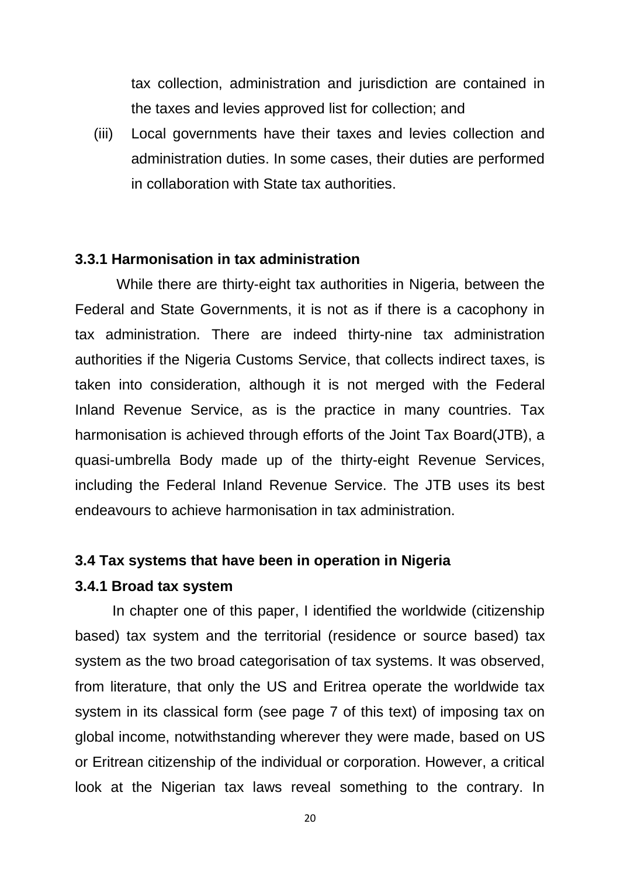tax collection, administration and jurisdiction are contained in the taxes and levies approved list for collection; and

(iii) Local governments have their taxes and levies collection and administration duties. In some cases, their duties are performed in collaboration with State tax authorities.

### **3.3.1 Harmonisation in tax administration**

While there are thirty-eight tax authorities in Nigeria, between the Federal and State Governments, it is not as if there is a cacophony in tax administration. There are indeed thirty-nine tax administration authorities if the Nigeria Customs Service, that collects indirect taxes, is taken into consideration, although it is not merged with the Federal Inland Revenue Service, as is the practice in many countries. Tax harmonisation is achieved through efforts of the Joint Tax Board(JTB), a quasi-umbrella Body made up of the thirty-eight Revenue Services, including the Federal Inland Revenue Service. The JTB uses its best endeavours to achieve harmonisation in tax administration.

#### **3.4 Tax systems that have been in operation in Nigeria**

### **3.4.1 Broad tax system**

In chapter one of this paper, I identified the worldwide (citizenship based) tax system and the territorial (residence or source based) tax system as the two broad categorisation of tax systems. It was observed, from literature, that only the US and Eritrea operate the worldwide tax system in its classical form (see page 7 of this text) of imposing tax on global income, notwithstanding wherever they were made, based on US or Eritrean citizenship of the individual or corporation. However, a critical look at the Nigerian tax laws reveal something to the contrary. In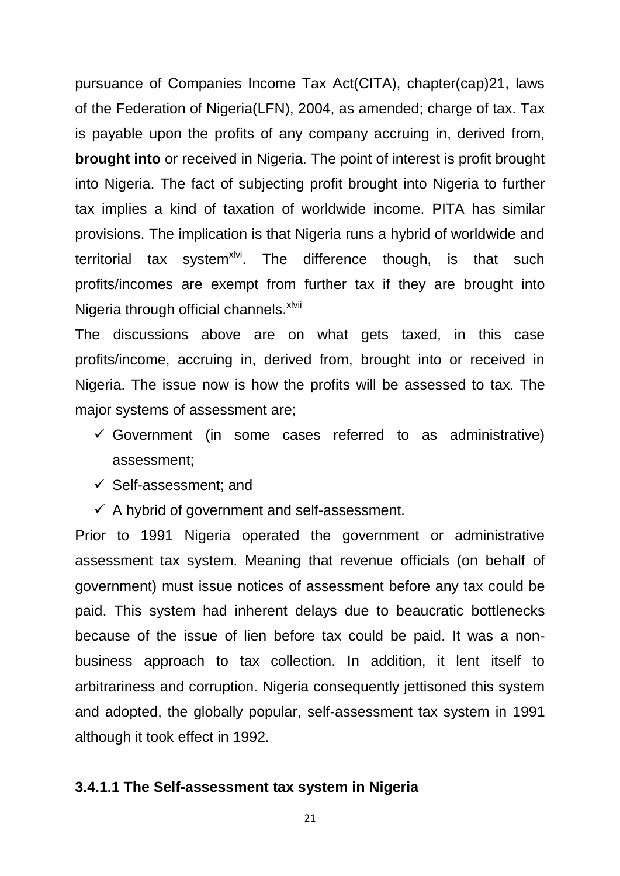pursuance of Companies Income Tax Act(CITA), chapter(cap)21, laws of the Federation of Nigeria(LFN), 2004, as amended; charge of tax. Tax is payable upon the profits of any company accruing in, derived from, **brought into** or received in Nigeria. The point of interest is profit brought into Nigeria. The fact of subjecting profit brought into Nigeria to further tax implies a kind of taxation of worldwide income. PITA has similar provisions. The implication is that Nigeria runs a hybrid of worldwide and territorial tax system<sup>xlvi</sup>. The difference though, is that such profits/incomes are exempt from further tax if they are brought into Nigeria through official channels.<sup>xlvii</sup>

The discussions above are on what gets taxed, in this case profits/income, accruing in, derived from, brought into or received in Nigeria. The issue now is how the profits will be assessed to tax. The major systems of assessment are;

- $\checkmark$  Government (in some cases referred to as administrative) assessment;
- $\checkmark$  Self-assessment; and
- $\checkmark$  A hybrid of government and self-assessment.

Prior to 1991 Nigeria operated the government or administrative assessment tax system. Meaning that revenue officials (on behalf of government) must issue notices of assessment before any tax could be paid. This system had inherent delays due to beaucratic bottlenecks because of the issue of lien before tax could be paid. It was a nonbusiness approach to tax collection. In addition, it lent itself to arbitrariness and corruption. Nigeria consequently jettisoned this system and adopted, the globally popular, self-assessment tax system in 1991 although it took effect in 1992.

#### **3.4.1.1 The Self-assessment tax system in Nigeria**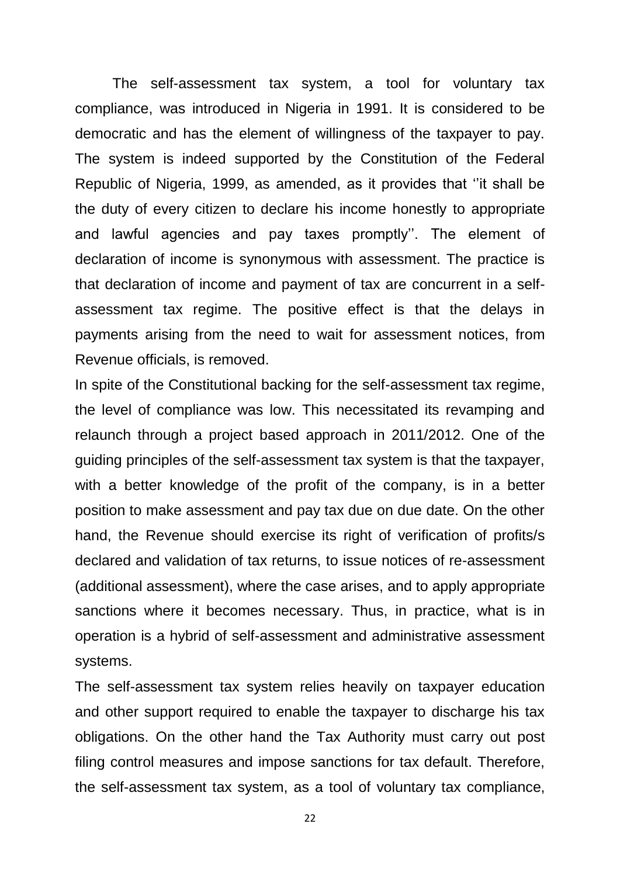The self-assessment tax system, a tool for voluntary tax compliance, was introduced in Nigeria in 1991. It is considered to be democratic and has the element of willingness of the taxpayer to pay. The system is indeed supported by the Constitution of the Federal Republic of Nigeria, 1999, as amended, as it provides that ''it shall be the duty of every citizen to declare his income honestly to appropriate and lawful agencies and pay taxes promptly''. The element of declaration of income is synonymous with assessment. The practice is that declaration of income and payment of tax are concurrent in a selfassessment tax regime. The positive effect is that the delays in payments arising from the need to wait for assessment notices, from Revenue officials, is removed.

In spite of the Constitutional backing for the self-assessment tax regime, the level of compliance was low. This necessitated its revamping and relaunch through a project based approach in 2011/2012. One of the guiding principles of the self-assessment tax system is that the taxpayer, with a better knowledge of the profit of the company, is in a better position to make assessment and pay tax due on due date. On the other hand, the Revenue should exercise its right of verification of profits/s declared and validation of tax returns, to issue notices of re-assessment (additional assessment), where the case arises, and to apply appropriate sanctions where it becomes necessary. Thus, in practice, what is in operation is a hybrid of self-assessment and administrative assessment systems.

The self-assessment tax system relies heavily on taxpayer education and other support required to enable the taxpayer to discharge his tax obligations. On the other hand the Tax Authority must carry out post filing control measures and impose sanctions for tax default. Therefore, the self-assessment tax system, as a tool of voluntary tax compliance,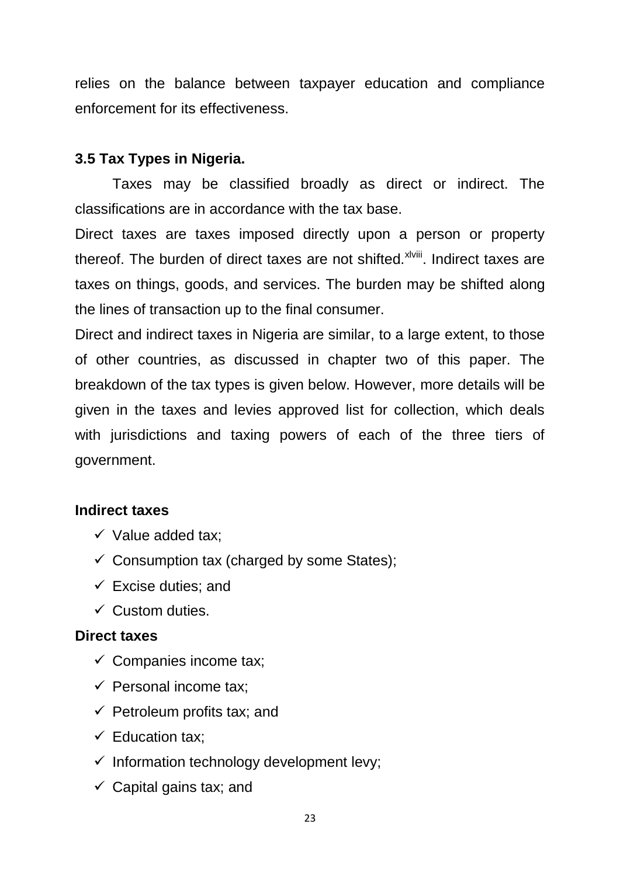relies on the balance between taxpayer education and compliance enforcement for its effectiveness.

# **3.5 Tax Types in Nigeria.**

Taxes may be classified broadly as direct or indirect. The classifications are in accordance with the tax base.

Direct taxes are taxes imposed directly upon a person or property thereof. The burden of direct taxes are not shifted. XIViii. Indirect taxes are taxes on things, goods, and services. The burden may be shifted along the lines of transaction up to the final consumer.

Direct and indirect taxes in Nigeria are similar, to a large extent, to those of other countries, as discussed in chapter two of this paper. The breakdown of the tax types is given below. However, more details will be given in the taxes and levies approved list for collection, which deals with jurisdictions and taxing powers of each of the three tiers of government.

# **Indirect taxes**

- $\checkmark$  Value added tax;
- $\checkmark$  Consumption tax (charged by some States);
- $\checkmark$  Excise duties; and
- $\checkmark$  Custom duties.

# **Direct taxes**

- $\checkmark$  Companies income tax;
- $\checkmark$  Personal income tax:
- $\checkmark$  Petroleum profits tax; and
- $\checkmark$  Education tax:
- $\checkmark$  Information technology development levy;
- $\checkmark$  Capital gains tax; and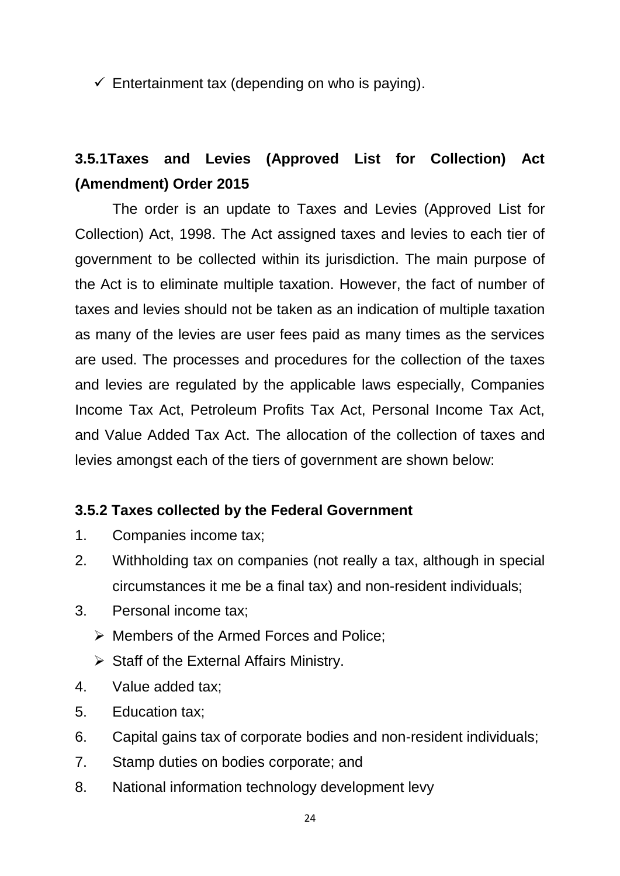$\checkmark$  Entertainment tax (depending on who is paying).

# **3.5.1Taxes and Levies (Approved List for Collection) Act (Amendment) Order 2015**

The order is an update to Taxes and Levies (Approved List for Collection) Act, 1998. The Act assigned taxes and levies to each tier of government to be collected within its jurisdiction. The main purpose of the Act is to eliminate multiple taxation. However, the fact of number of taxes and levies should not be taken as an indication of multiple taxation as many of the levies are user fees paid as many times as the services are used. The processes and procedures for the collection of the taxes and levies are regulated by the applicable laws especially, Companies Income Tax Act, Petroleum Profits Tax Act, Personal Income Tax Act, and Value Added Tax Act. The allocation of the collection of taxes and levies amongst each of the tiers of government are shown below:

# **3.5.2 Taxes collected by the Federal Government**

- 1. Companies income tax;
- 2. Withholding tax on companies (not really a tax, although in special circumstances it me be a final tax) and non-resident individuals;
- 3. Personal income tax;
	- $\triangleright$  Members of the Armed Forces and Police;
	- $\triangleright$  Staff of the External Affairs Ministry.
- 4. Value added tax;
- 5. Education tax;
- 6. Capital gains tax of corporate bodies and non-resident individuals;
- 7. Stamp duties on bodies corporate; and
- 8. National information technology development levy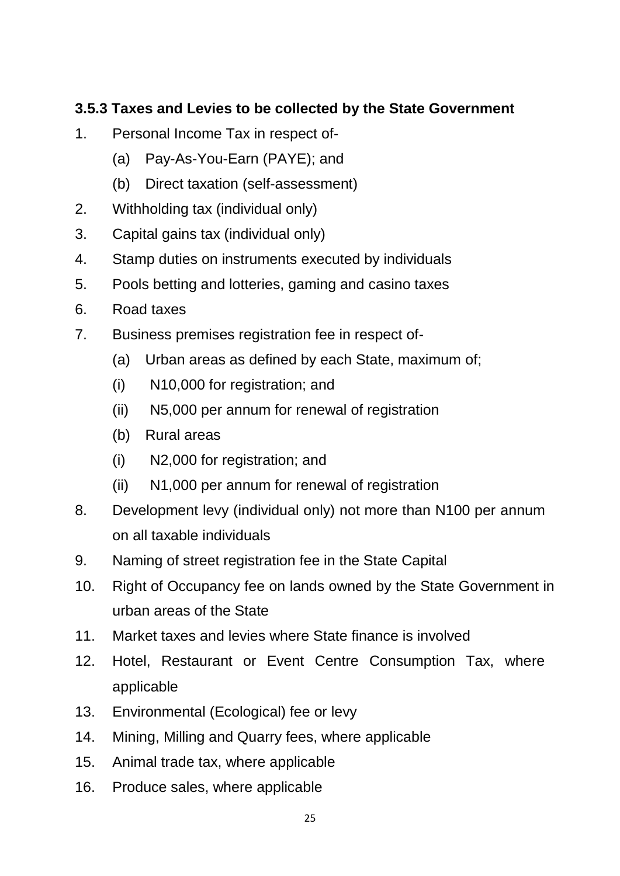# **3.5.3 Taxes and Levies to be collected by the State Government**

- 1. Personal Income Tax in respect of-
	- (a) Pay-As-You-Earn (PAYE); and
	- (b) Direct taxation (self-assessment)
- 2. Withholding tax (individual only)
- 3. Capital gains tax (individual only)
- 4. Stamp duties on instruments executed by individuals
- 5. Pools betting and lotteries, gaming and casino taxes
- 6. Road taxes
- 7. Business premises registration fee in respect of-
	- (a) Urban areas as defined by each State, maximum of;
	- (i) N10,000 for registration; and
	- (ii) N5,000 per annum for renewal of registration
	- (b) Rural areas
	- (i) N2,000 for registration; and
	- (ii) N1,000 per annum for renewal of registration
- 8. Development levy (individual only) not more than N100 per annum on all taxable individuals
- 9. Naming of street registration fee in the State Capital
- 10. Right of Occupancy fee on lands owned by the State Government in urban areas of the State
- 11. Market taxes and levies where State finance is involved
- 12. Hotel, Restaurant or Event Centre Consumption Tax, where applicable
- 13. Environmental (Ecological) fee or levy
- 14. Mining, Milling and Quarry fees, where applicable
- 15. Animal trade tax, where applicable
- 16. Produce sales, where applicable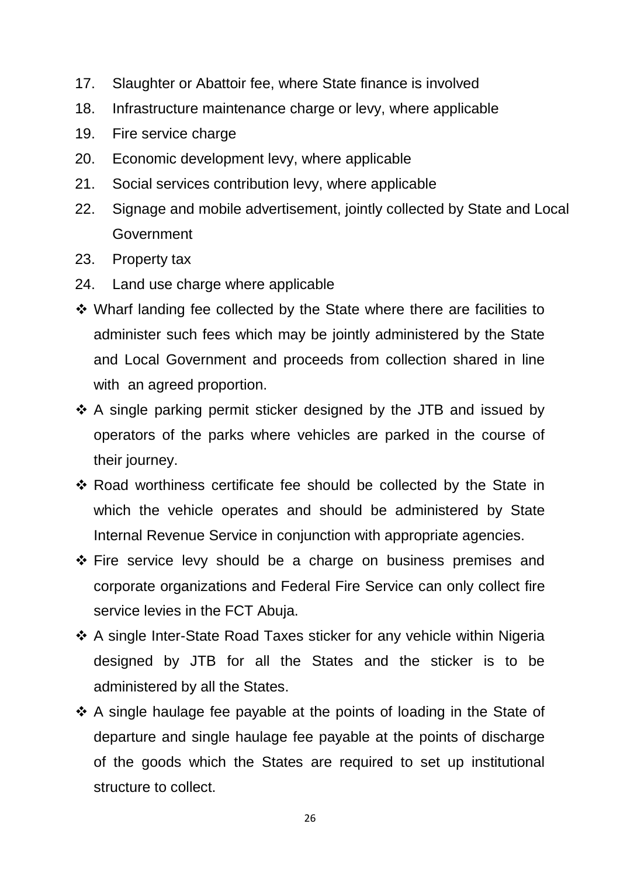- 17. Slaughter or Abattoir fee, where State finance is involved
- 18. Infrastructure maintenance charge or levy, where applicable
- 19. Fire service charge
- 20. Economic development levy, where applicable
- 21. Social services contribution levy, where applicable
- 22. Signage and mobile advertisement, jointly collected by State and Local **Government**
- 23. Property tax
- 24. Land use charge where applicable
- Wharf landing fee collected by the State where there are facilities to administer such fees which may be jointly administered by the State and Local Government and proceeds from collection shared in line with an agreed proportion.
- A single parking permit sticker designed by the JTB and issued by operators of the parks where vehicles are parked in the course of their journey.
- Road worthiness certificate fee should be collected by the State in which the vehicle operates and should be administered by State Internal Revenue Service in conjunction with appropriate agencies.
- Fire service levy should be a charge on business premises and corporate organizations and Federal Fire Service can only collect fire service levies in the FCT Abuja.
- ❖ A single Inter-State Road Taxes sticker for any vehicle within Nigeria designed by JTB for all the States and the sticker is to be administered by all the States.
- A single haulage fee payable at the points of loading in the State of departure and single haulage fee payable at the points of discharge of the goods which the States are required to set up institutional structure to collect.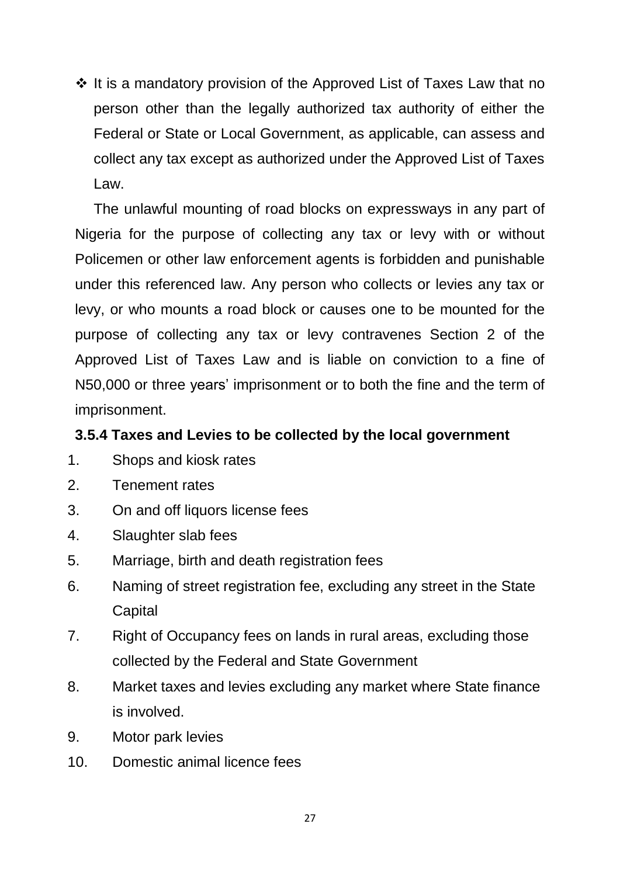$\cdot$  It is a mandatory provision of the Approved List of Taxes Law that no person other than the legally authorized tax authority of either the Federal or State or Local Government, as applicable, can assess and collect any tax except as authorized under the Approved List of Taxes Law.

The unlawful mounting of road blocks on expressways in any part of Nigeria for the purpose of collecting any tax or levy with or without Policemen or other law enforcement agents is forbidden and punishable under this referenced law. Any person who collects or levies any tax or levy, or who mounts a road block or causes one to be mounted for the purpose of collecting any tax or levy contravenes Section 2 of the Approved List of Taxes Law and is liable on conviction to a fine of N50,000 or three years' imprisonment or to both the fine and the term of imprisonment.

# **3.5.4 Taxes and Levies to be collected by the local government**

- 1. Shops and kiosk rates
- 2. Tenement rates
- 3. On and off liquors license fees
- 4. Slaughter slab fees
- 5. Marriage, birth and death registration fees
- 6. Naming of street registration fee, excluding any street in the State **Capital**
- 7. Right of Occupancy fees on lands in rural areas, excluding those collected by the Federal and State Government
- 8. Market taxes and levies excluding any market where State finance is involved.
- 9. Motor park levies
- 10. Domestic animal licence fees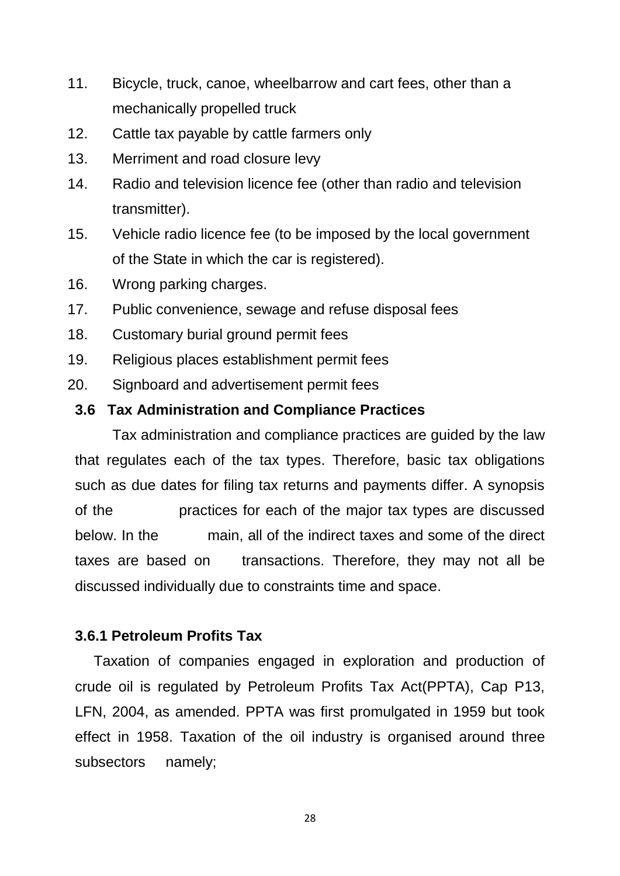- 11. Bicycle, truck, canoe, wheelbarrow and cart fees, other than a mechanically propelled truck
- 12. Cattle tax payable by cattle farmers only
- 13. Merriment and road closure levy
- 14. Radio and television licence fee (other than radio and television transmitter).
- 15. Vehicle radio licence fee (to be imposed by the local government of the State in which the car is registered).
- 16. Wrong parking charges.
- 17. Public convenience, sewage and refuse disposal fees
- 18. Customary burial ground permit fees
- 19. Religious places establishment permit fees
- 20. Signboard and advertisement permit fees

### **3.6 Tax Administration and Compliance Practices**

Tax administration and compliance practices are guided by the law that regulates each of the tax types. Therefore, basic tax obligations such as due dates for filing tax returns and payments differ. A synopsis of the practices for each of the major tax types are discussed below. In the main, all of the indirect taxes and some of the direct taxes are based on transactions. Therefore, they may not all be discussed individually due to constraints time and space.

### **3.6.1 Petroleum Profits Tax**

Taxation of companies engaged in exploration and production of crude oil is regulated by Petroleum Profits Tax Act(PPTA), Cap P13, LFN, 2004, as amended. PPTA was first promulgated in 1959 but took effect in 1958. Taxation of the oil industry is organised around three subsectors namely;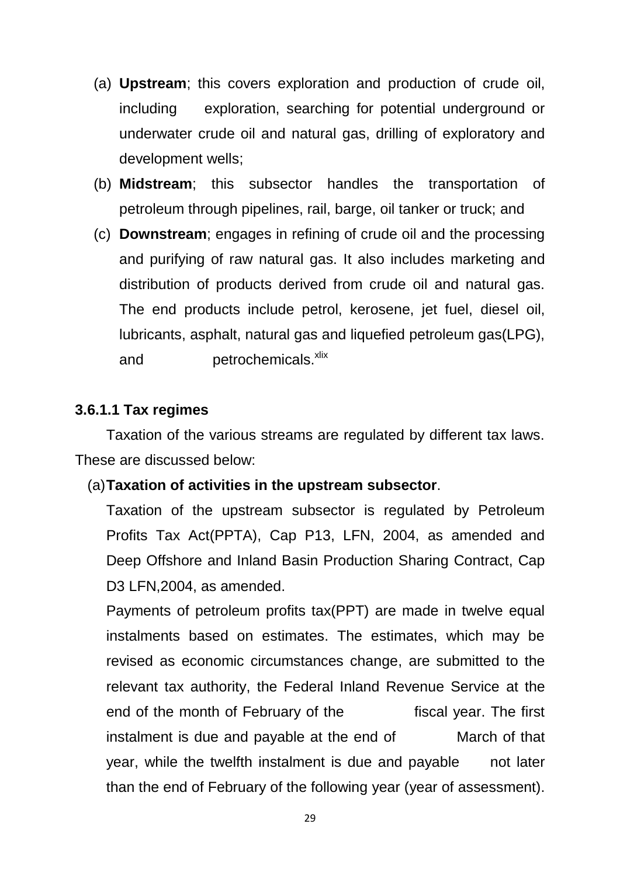- (a) **Upstream**; this covers exploration and production of crude oil, including exploration, searching for potential underground or underwater crude oil and natural gas, drilling of exploratory and development wells;
- (b) **Midstream**; this subsector handles the transportation of petroleum through pipelines, rail, barge, oil tanker or truck; and
- (c) **Downstream**; engages in refining of crude oil and the processing and purifying of raw natural gas. It also includes marketing and distribution of products derived from crude oil and natural gas. The end products include petrol, kerosene, jet fuel, diesel oil, lubricants, asphalt, natural gas and liquefied petroleum gas(LPG), and petrochemicals.<sup>xlix</sup>

## **3.6.1.1 Tax regimes**

Taxation of the various streams are regulated by different tax laws. These are discussed below:

### (a)**Taxation of activities in the upstream subsector**.

Taxation of the upstream subsector is regulated by Petroleum Profits Tax Act(PPTA), Cap P13, LFN, 2004, as amended and Deep Offshore and Inland Basin Production Sharing Contract, Cap D<sub>3</sub> LFN, 2004, as amended.

Payments of petroleum profits tax(PPT) are made in twelve equal instalments based on estimates. The estimates, which may be revised as economic circumstances change, are submitted to the relevant tax authority, the Federal Inland Revenue Service at the end of the month of February of the fiscal year. The first instalment is due and payable at the end of March of that year, while the twelfth instalment is due and payable not later than the end of February of the following year (year of assessment).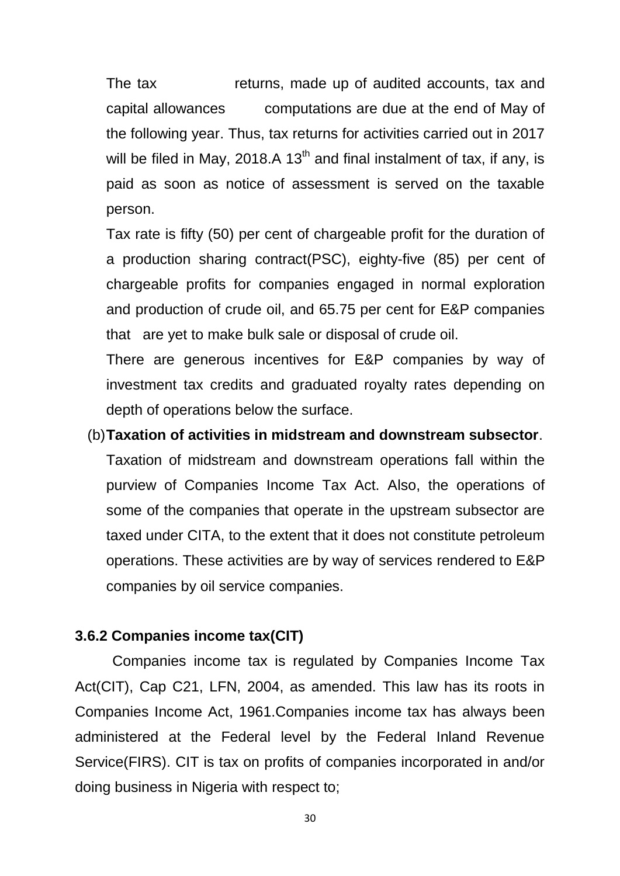The tax returns, made up of audited accounts, tax and capital allowances computations are due at the end of May of the following year. Thus, tax returns for activities carried out in 2017 will be filed in May, 2018.A 13<sup>th</sup> and final instalment of tax, if any, is paid as soon as notice of assessment is served on the taxable person.

Tax rate is fifty (50) per cent of chargeable profit for the duration of a production sharing contract(PSC), eighty-five (85) per cent of chargeable profits for companies engaged in normal exploration and production of crude oil, and 65.75 per cent for E&P companies that are yet to make bulk sale or disposal of crude oil.

There are generous incentives for E&P companies by way of investment tax credits and graduated royalty rates depending on depth of operations below the surface.

(b)**Taxation of activities in midstream and downstream subsector**. Taxation of midstream and downstream operations fall within the purview of Companies Income Tax Act. Also, the operations of some of the companies that operate in the upstream subsector are taxed under CITA, to the extent that it does not constitute petroleum operations. These activities are by way of services rendered to E&P companies by oil service companies.

# **3.6.2 Companies income tax(CIT)**

Companies income tax is regulated by Companies Income Tax Act(CIT), Cap C21, LFN, 2004, as amended. This law has its roots in Companies Income Act, 1961.Companies income tax has always been administered at the Federal level by the Federal Inland Revenue Service(FIRS). CIT is tax on profits of companies incorporated in and/or doing business in Nigeria with respect to;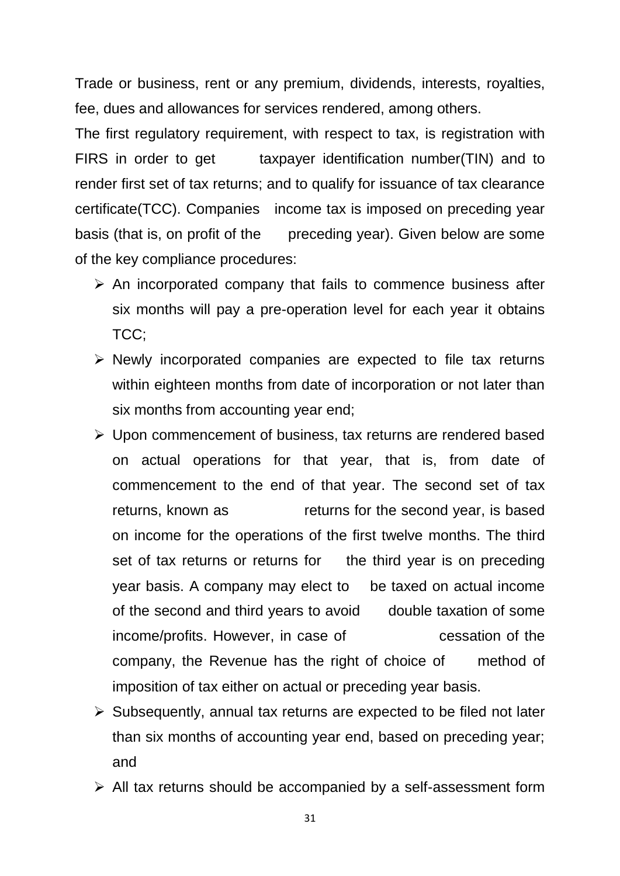Trade or business, rent or any premium, dividends, interests, royalties, fee, dues and allowances for services rendered, among others.

The first regulatory requirement, with respect to tax, is registration with FIRS in order to get taxpayer identification number(TIN) and to render first set of tax returns; and to qualify for issuance of tax clearance certificate(TCC). Companies income tax is imposed on preceding year basis (that is, on profit of the preceding year). Given below are some of the key compliance procedures:

- $\triangleright$  An incorporated company that fails to commence business after six months will pay a pre-operation level for each year it obtains TCC;
- $\triangleright$  Newly incorporated companies are expected to file tax returns within eighteen months from date of incorporation or not later than six months from accounting year end;
- $\triangleright$  Upon commencement of business, tax returns are rendered based on actual operations for that year, that is, from date of commencement to the end of that year. The second set of tax returns, known as returns for the second year, is based on income for the operations of the first twelve months. The third set of tax returns or returns for the third year is on preceding year basis. A company may elect to be taxed on actual income of the second and third years to avoid double taxation of some income/profits. However, in case of cessation of the company, the Revenue has the right of choice of method of imposition of tax either on actual or preceding year basis.
- $\triangleright$  Subsequently, annual tax returns are expected to be filed not later than six months of accounting year end, based on preceding year; and
- $\triangleright$  All tax returns should be accompanied by a self-assessment form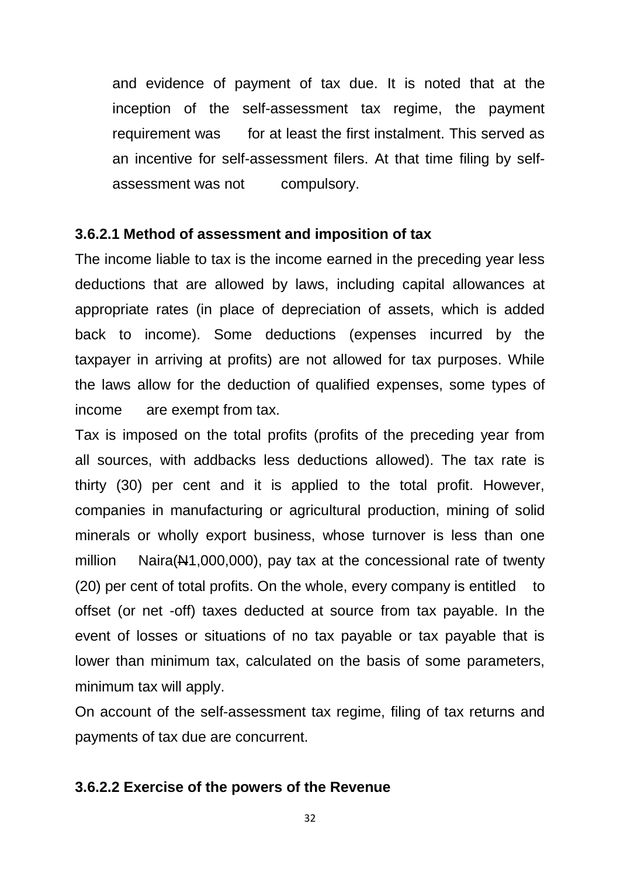and evidence of payment of tax due. It is noted that at the inception of the self-assessment tax regime, the payment requirement was for at least the first instalment. This served as an incentive for self-assessment filers. At that time filing by selfassessment was not compulsory.

#### **3.6.2.1 Method of assessment and imposition of tax**

The income liable to tax is the income earned in the preceding year less deductions that are allowed by laws, including capital allowances at appropriate rates (in place of depreciation of assets, which is added back to income). Some deductions (expenses incurred by the taxpayer in arriving at profits) are not allowed for tax purposes. While the laws allow for the deduction of qualified expenses, some types of income are exempt from tax.

Tax is imposed on the total profits (profits of the preceding year from all sources, with addbacks less deductions allowed). The tax rate is thirty (30) per cent and it is applied to the total profit. However, companies in manufacturing or agricultural production, mining of solid minerals or wholly export business, whose turnover is less than one million Naira(N1,000,000), pay tax at the concessional rate of twenty (20) per cent of total profits. On the whole, every company is entitled to offset (or net -off) taxes deducted at source from tax payable. In the event of losses or situations of no tax payable or tax payable that is lower than minimum tax, calculated on the basis of some parameters, minimum tax will apply.

On account of the self-assessment tax regime, filing of tax returns and payments of tax due are concurrent.

#### **3.6.2.2 Exercise of the powers of the Revenue**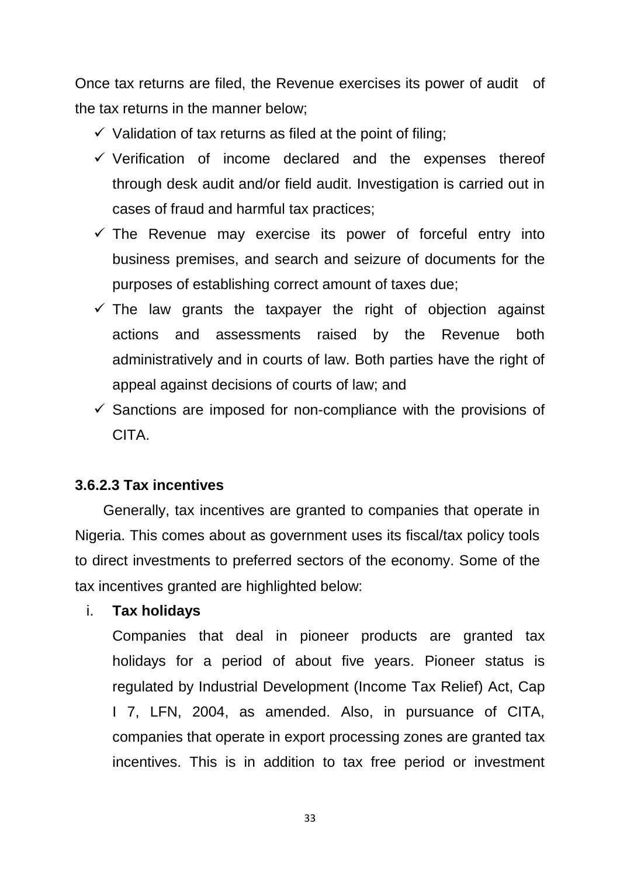Once tax returns are filed, the Revenue exercises its power of audit of the tax returns in the manner below;

- $\checkmark$  Validation of tax returns as filed at the point of filing;
- $\checkmark$  Verification of income declared and the expenses thereof through desk audit and/or field audit. Investigation is carried out in cases of fraud and harmful tax practices;
- $\checkmark$  The Revenue may exercise its power of forceful entry into business premises, and search and seizure of documents for the purposes of establishing correct amount of taxes due;
- $\checkmark$  The law grants the taxpayer the right of objection against actions and assessments raised by the Revenue both administratively and in courts of law. Both parties have the right of appeal against decisions of courts of law; and
- $\checkmark$  Sanctions are imposed for non-compliance with the provisions of **CITA**

### **3.6.2.3 Tax incentives**

 Generally, tax incentives are granted to companies that operate in Nigeria. This comes about as government uses its fiscal/tax policy tools to direct investments to preferred sectors of the economy. Some of the tax incentives granted are highlighted below:

#### i. **Tax holidays**

Companies that deal in pioneer products are granted tax holidays for a period of about five years. Pioneer status is regulated by Industrial Development (Income Tax Relief) Act, Cap I 7, LFN, 2004, as amended. Also, in pursuance of CITA, companies that operate in export processing zones are granted tax incentives. This is in addition to tax free period or investment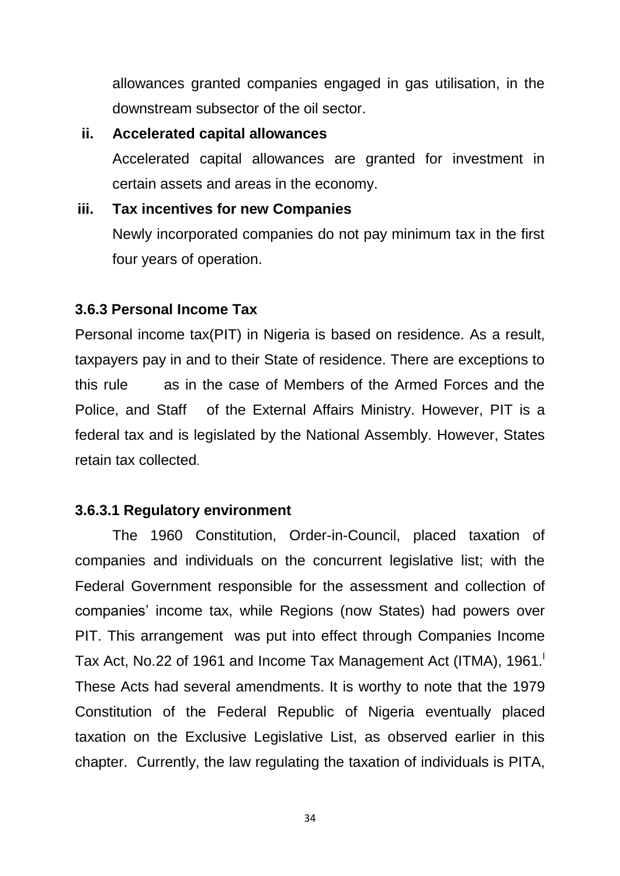allowances granted companies engaged in gas utilisation, in the downstream subsector of the oil sector.

## **ii. Accelerated capital allowances**

Accelerated capital allowances are granted for investment in certain assets and areas in the economy.

## **iii. Tax incentives for new Companies**

Newly incorporated companies do not pay minimum tax in the first four years of operation.

# **3.6.3 Personal Income Tax**

Personal income tax(PIT) in Nigeria is based on residence. As a result, taxpayers pay in and to their State of residence. There are exceptions to this rule as in the case of Members of the Armed Forces and the Police, and Staff of the External Affairs Ministry. However, PIT is a federal tax and is legislated by the National Assembly. However, States retain tax collected.

# **3.6.3.1 Regulatory environment**

The 1960 Constitution, Order-in-Council, placed taxation of companies and individuals on the concurrent legislative list; with the Federal Government responsible for the assessment and collection of companies' income tax, while Regions (now States) had powers over PIT. This arrangement was put into effect through Companies Income Tax Act, No.22 of 1961 and Income Tax Management Act (ITMA), 1961. These Acts had several amendments. It is worthy to note that the 1979 Constitution of the Federal Republic of Nigeria eventually placed taxation on the Exclusive Legislative List, as observed earlier in this chapter. Currently, the law regulating the taxation of individuals is PITA,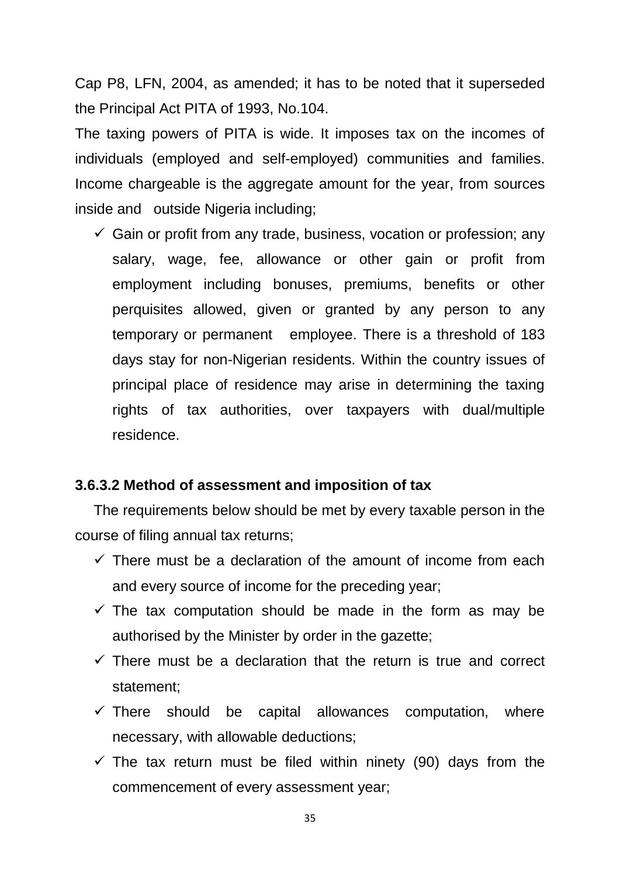Cap P8, LFN, 2004, as amended; it has to be noted that it superseded the Principal Act PITA of 1993, No.104.

The taxing powers of PITA is wide. It imposes tax on the incomes of individuals (employed and self-employed) communities and families. Income chargeable is the aggregate amount for the year, from sources inside and outside Nigeria including;

 $\checkmark$  Gain or profit from any trade, business, vocation or profession; any salary, wage, fee, allowance or other gain or profit from employment including bonuses, premiums, benefits or other perquisites allowed, given or granted by any person to any temporary or permanent employee. There is a threshold of 183 days stay for non-Nigerian residents. Within the country issues of principal place of residence may arise in determining the taxing rights of tax authorities, over taxpayers with dual/multiple residence.

# **3.6.3.2 Method of assessment and imposition of tax**

The requirements below should be met by every taxable person in the course of filing annual tax returns;

- $\checkmark$  There must be a declaration of the amount of income from each and every source of income for the preceding year;
- $\checkmark$  The tax computation should be made in the form as may be authorised by the Minister by order in the gazette;
- $\checkmark$  There must be a declaration that the return is true and correct statement;
- $\checkmark$  There should be capital allowances computation, where necessary, with allowable deductions;
- $\checkmark$  The tax return must be filed within ninety (90) days from the commencement of every assessment year;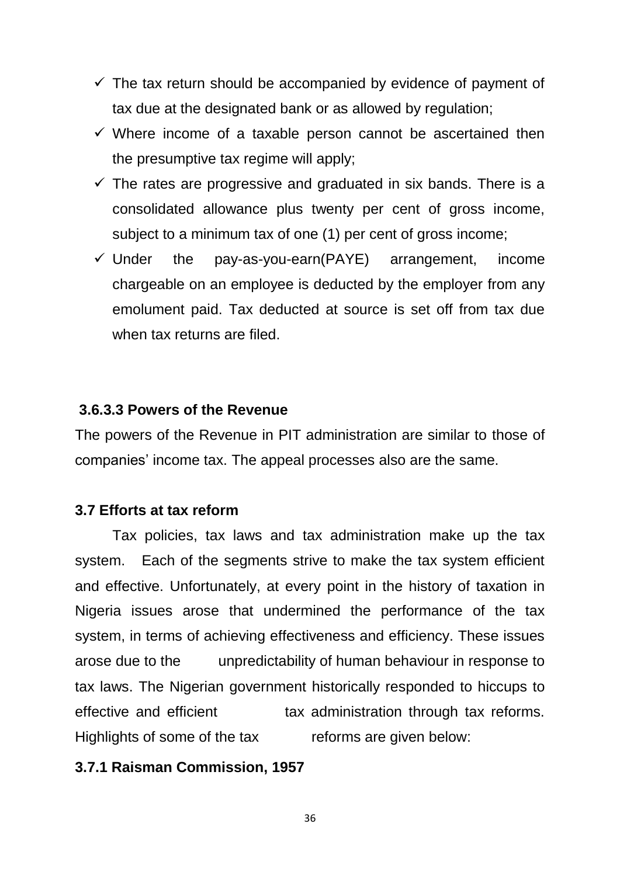- $\checkmark$  The tax return should be accompanied by evidence of payment of tax due at the designated bank or as allowed by regulation;
- $\checkmark$  Where income of a taxable person cannot be ascertained then the presumptive tax regime will apply;
- $\checkmark$  The rates are progressive and graduated in six bands. There is a consolidated allowance plus twenty per cent of gross income, subject to a minimum tax of one (1) per cent of gross income;
- $\checkmark$  Under the pay-as-you-earn(PAYE) arrangement, income chargeable on an employee is deducted by the employer from any emolument paid. Tax deducted at source is set off from tax due when tax returns are filed.

## **3.6.3.3 Powers of the Revenue**

The powers of the Revenue in PIT administration are similar to those of companies' income tax. The appeal processes also are the same.

### **3.7 Efforts at tax reform**

Tax policies, tax laws and tax administration make up the tax system. Each of the segments strive to make the tax system efficient and effective. Unfortunately, at every point in the history of taxation in Nigeria issues arose that undermined the performance of the tax system, in terms of achieving effectiveness and efficiency. These issues arose due to the unpredictability of human behaviour in response to tax laws. The Nigerian government historically responded to hiccups to effective and efficient tax administration through tax reforms. Highlights of some of the tax reforms are given below:

#### **3.7.1 Raisman Commission, 1957**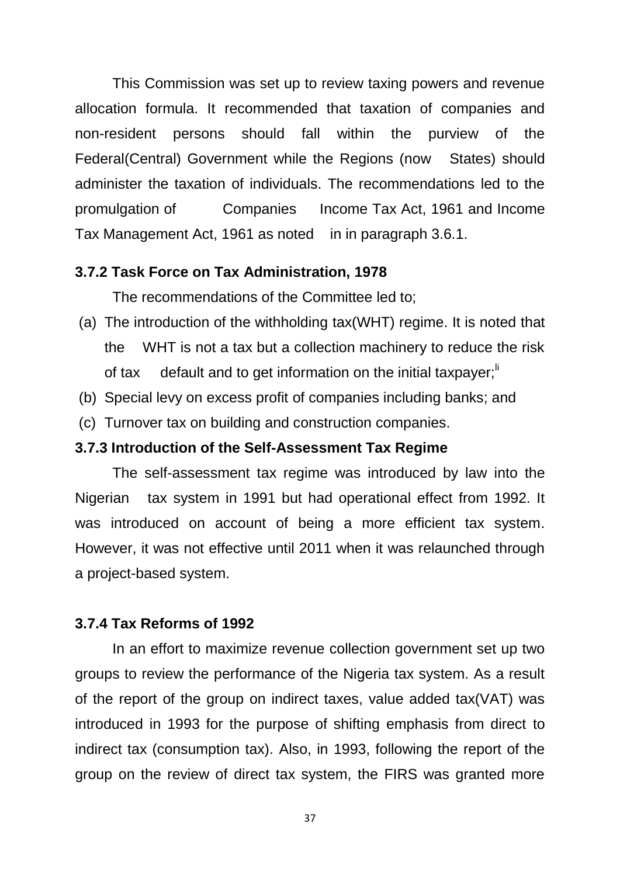This Commission was set up to review taxing powers and revenue allocation formula. It recommended that taxation of companies and non-resident persons should fall within the purview of the Federal(Central) Government while the Regions (now States) should administer the taxation of individuals. The recommendations led to the promulgation of Companies Income Tax Act, 1961 and Income Tax Management Act, 1961 as noted in in paragraph 3.6.1.

#### **3.7.2 Task Force on Tax Administration, 1978**

The recommendations of the Committee led to;

- (a) The introduction of the withholding tax(WHT) regime. It is noted that the WHT is not a tax but a collection machinery to reduce the risk of tax default and to get information on the initial taxpayer; $\mathbf{r}^{\mathsf{H}}$
- (b) Special levy on excess profit of companies including banks; and
- (c) Turnover tax on building and construction companies.

#### **3.7.3 Introduction of the Self-Assessment Tax Regime**

The self-assessment tax regime was introduced by law into the Nigerian tax system in 1991 but had operational effect from 1992. It was introduced on account of being a more efficient tax system. However, it was not effective until 2011 when it was relaunched through a project-based system.

#### **3.7.4 Tax Reforms of 1992**

In an effort to maximize revenue collection government set up two groups to review the performance of the Nigeria tax system. As a result of the report of the group on indirect taxes, value added tax(VAT) was introduced in 1993 for the purpose of shifting emphasis from direct to indirect tax (consumption tax). Also, in 1993, following the report of the group on the review of direct tax system, the FIRS was granted more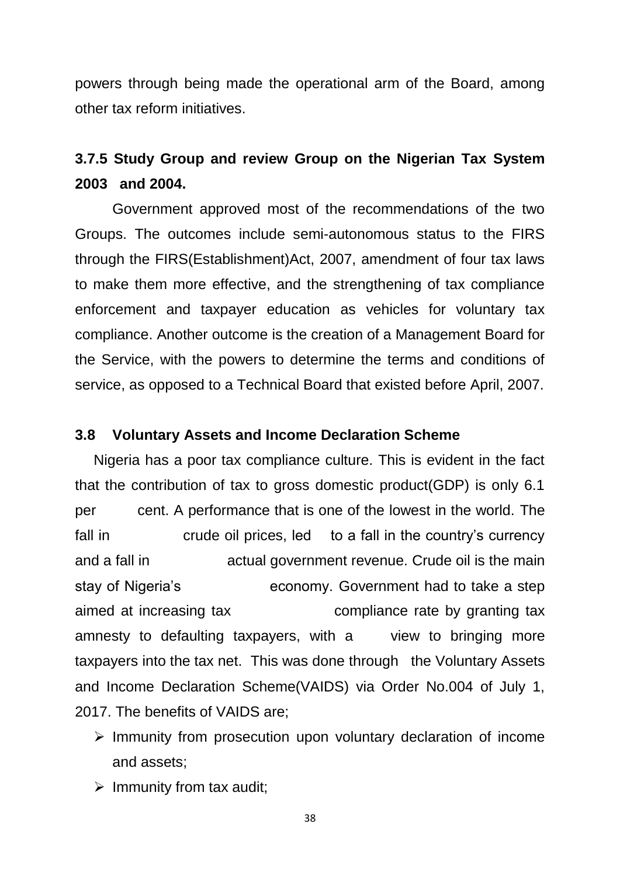powers through being made the operational arm of the Board, among other tax reform initiatives.

# **3.7.5 Study Group and review Group on the Nigerian Tax System 2003 and 2004.**

Government approved most of the recommendations of the two Groups. The outcomes include semi-autonomous status to the FIRS through the FIRS(Establishment)Act, 2007, amendment of four tax laws to make them more effective, and the strengthening of tax compliance enforcement and taxpayer education as vehicles for voluntary tax compliance. Another outcome is the creation of a Management Board for the Service, with the powers to determine the terms and conditions of service, as opposed to a Technical Board that existed before April, 2007.

#### **3.8 Voluntary Assets and Income Declaration Scheme**

Nigeria has a poor tax compliance culture. This is evident in the fact that the contribution of tax to gross domestic product(GDP) is only 6.1 per cent. A performance that is one of the lowest in the world. The fall in crude oil prices, led to a fall in the country's currency and a fall in actual government revenue. Crude oil is the main stay of Nigeria's economy. Government had to take a step aimed at increasing tax compliance rate by granting tax amnesty to defaulting taxpayers, with a view to bringing more taxpayers into the tax net. This was done through the Voluntary Assets and Income Declaration Scheme(VAIDS) via Order No.004 of July 1, 2017. The benefits of VAIDS are;

- $\triangleright$  Immunity from prosecution upon voluntary declaration of income and assets;
- $\triangleright$  Immunity from tax audit;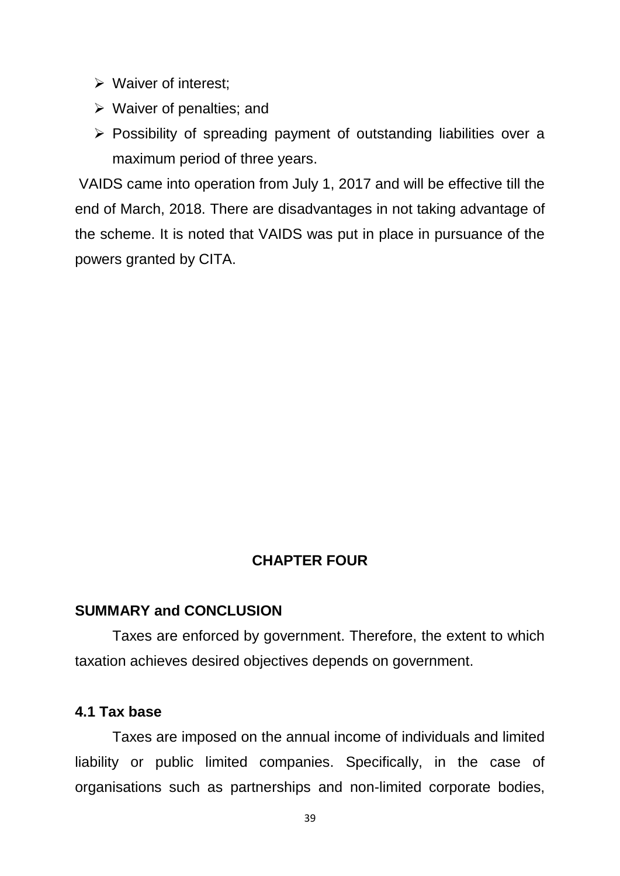- $\triangleright$  Waiver of interest;
- $\triangleright$  Waiver of penalties; and
- $\triangleright$  Possibility of spreading payment of outstanding liabilities over a maximum period of three years.

VAIDS came into operation from July 1, 2017 and will be effective till the end of March, 2018. There are disadvantages in not taking advantage of the scheme. It is noted that VAIDS was put in place in pursuance of the powers granted by CITA.

# **CHAPTER FOUR**

#### **SUMMARY and CONCLUSION**

Taxes are enforced by government. Therefore, the extent to which taxation achieves desired objectives depends on government.

### **4.1 Tax base**

Taxes are imposed on the annual income of individuals and limited liability or public limited companies. Specifically, in the case of organisations such as partnerships and non-limited corporate bodies,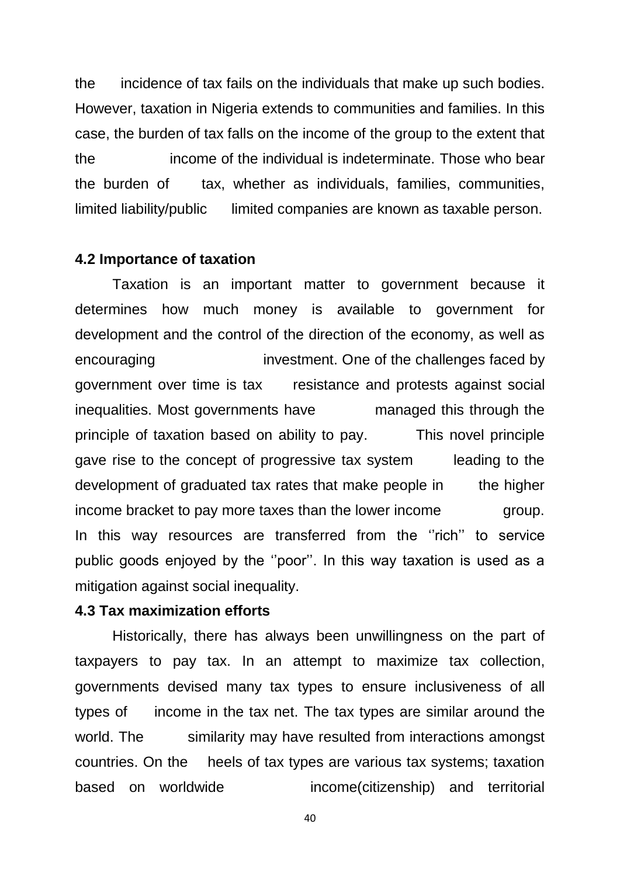the incidence of tax fails on the individuals that make up such bodies. However, taxation in Nigeria extends to communities and families. In this case, the burden of tax falls on the income of the group to the extent that the income of the individual is indeterminate. Those who bear the burden of tax, whether as individuals, families, communities, limited liability/public limited companies are known as taxable person.

#### **4.2 Importance of taxation**

Taxation is an important matter to government because it determines how much money is available to government for development and the control of the direction of the economy, as well as encouraging investment. One of the challenges faced by government over time is tax resistance and protests against social inequalities. Most governments have managed this through the principle of taxation based on ability to pay. This novel principle gave rise to the concept of progressive tax system leading to the development of graduated tax rates that make people in the higher income bracket to pay more taxes than the lower income group. In this way resources are transferred from the ''rich'' to service public goods enjoyed by the ''poor''. In this way taxation is used as a mitigation against social inequality.

### **4.3 Tax maximization efforts**

Historically, there has always been unwillingness on the part of taxpayers to pay tax. In an attempt to maximize tax collection, governments devised many tax types to ensure inclusiveness of all types of income in the tax net. The tax types are similar around the world. The similarity may have resulted from interactions amongst countries. On the heels of tax types are various tax systems; taxation based on worldwide income(citizenship) and territorial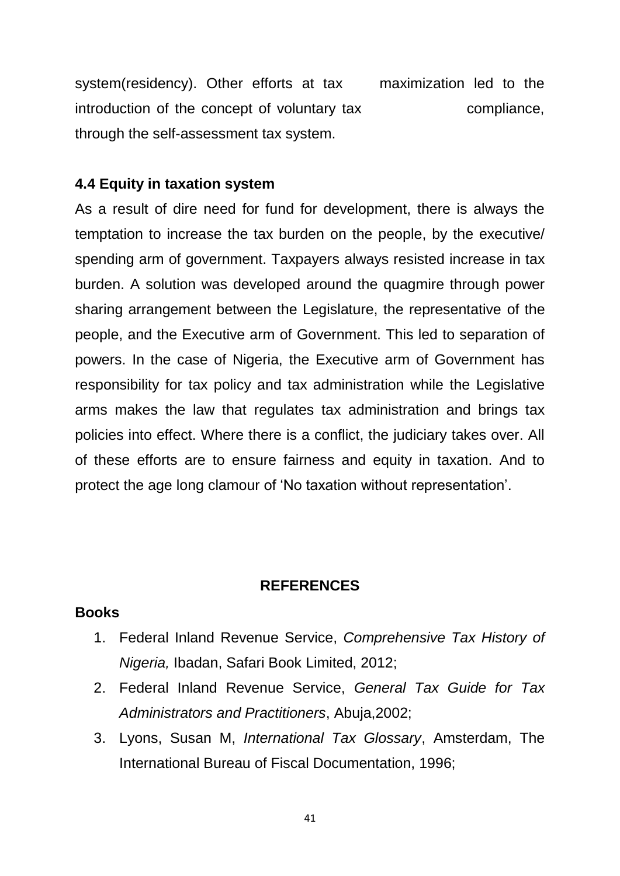system(residency). Other efforts at tax maximization led to the introduction of the concept of voluntary tax compliance, through the self-assessment tax system.

### **4.4 Equity in taxation system**

As a result of dire need for fund for development, there is always the temptation to increase the tax burden on the people, by the executive/ spending arm of government. Taxpayers always resisted increase in tax burden. A solution was developed around the quagmire through power sharing arrangement between the Legislature, the representative of the people, and the Executive arm of Government. This led to separation of powers. In the case of Nigeria, the Executive arm of Government has responsibility for tax policy and tax administration while the Legislative arms makes the law that regulates tax administration and brings tax policies into effect. Where there is a conflict, the judiciary takes over. All of these efforts are to ensure fairness and equity in taxation. And to protect the age long clamour of 'No taxation without representation'.

#### **REFERENCES**

### **Books**

- 1. Federal Inland Revenue Service, *Comprehensive Tax History of Nigeria,* Ibadan, Safari Book Limited, 2012;
- 2. Federal Inland Revenue Service, *General Tax Guide for Tax Administrators and Practitioners*, Abuja,2002;
- 3. Lyons, Susan M, *International Tax Glossary*, Amsterdam, The International Bureau of Fiscal Documentation, 1996;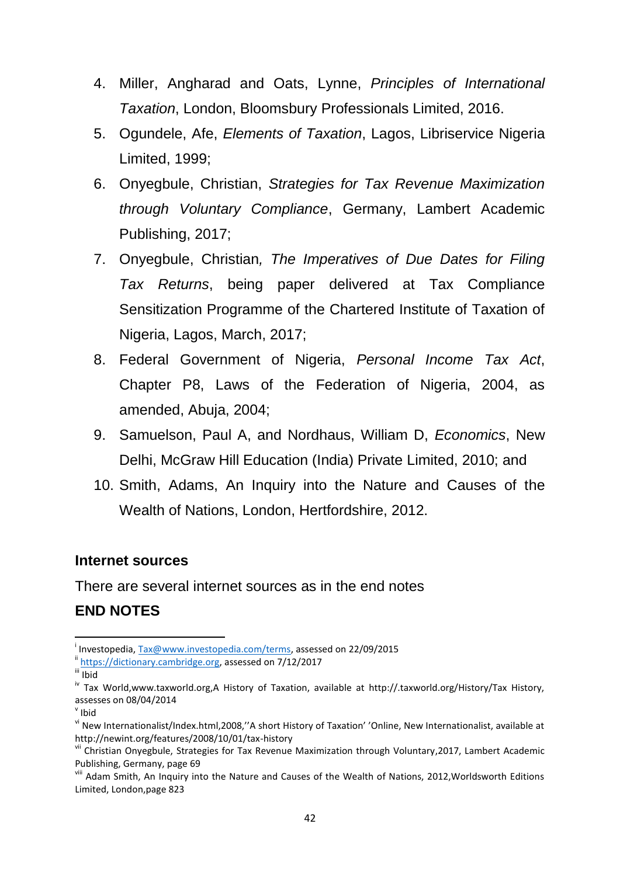- 4. Miller, Angharad and Oats, Lynne, *Principles of International Taxation*, London, Bloomsbury Professionals Limited, 2016.
- 5. Ogundele, Afe, *Elements of Taxation*, Lagos, Libriservice Nigeria Limited, 1999;
- 6. Onyegbule, Christian, *Strategies for Tax Revenue Maximization through Voluntary Compliance*, Germany, Lambert Academic Publishing, 2017;
- 7. Onyegbule, Christian*, The Imperatives of Due Dates for Filing Tax Returns*, being paper delivered at Tax Compliance Sensitization Programme of the Chartered Institute of Taxation of Nigeria, Lagos, March, 2017;
- 8. Federal Government of Nigeria, *Personal Income Tax Act*, Chapter P8, Laws of the Federation of Nigeria, 2004, as amended, Abuja, 2004;
- 9. Samuelson, Paul A, and Nordhaus, William D, *Economics*, New Delhi, McGraw Hill Education (India) Private Limited, 2010; and
- 10. Smith, Adams, An Inquiry into the Nature and Causes of the Wealth of Nations, London, Hertfordshire, 2012.

### **Internet sources**

There are several internet sources as in the end notes

# **END NOTES**

**.** 

<sup>&</sup>lt;sup>i</sup> Investopedia, [Tax@www.investopedia.com/terms,](mailto:Tax@www.investopedia.com/terms) assessed on 22/09/2015

 $\text{ii}$  [https://dictionary.cambridge.org,](https://dictionary.cambridge.org/) assessed on 7/12/2017

iii Ibid

iv Tax World,www.taxworld.org,A History of Taxation, available at http://.taxworld.org/History/Tax History, assesses on 08/04/2014

v Ibid

vi New Internationalist/Index.html,2008,''A short History of Taxation' 'Online, New Internationalist, available at http://newint.org/features/2008/10/01/tax-history

vii Christian Onyegbule, Strategies for Tax Revenue Maximization through Voluntary, 2017, Lambert Academic Publishing, Germany, page 69

viii Adam Smith, An Inquiry into the Nature and Causes of the Wealth of Nations, 2012, Worldsworth Editions Limited, London,page 823